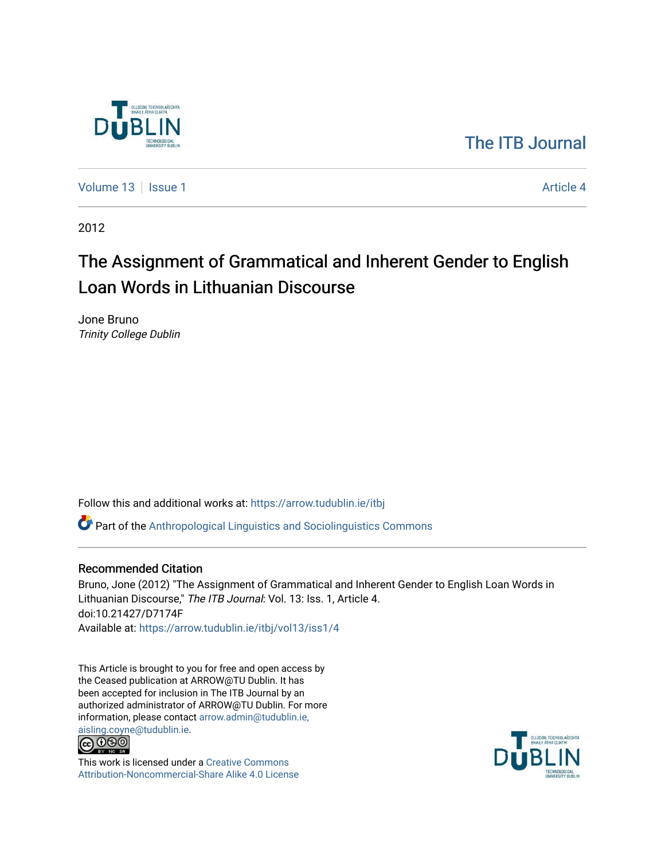

# [The ITB Journal](https://arrow.tudublin.ie/itbj)

[Volume 13](https://arrow.tudublin.ie/itbj/vol13) | [Issue 1](https://arrow.tudublin.ie/itbj/vol13/iss1) Article 4

2012

# The Assignment of Grammatical and Inherent Gender to English Loan Words in Lithuanian Discourse

Jone Bruno Trinity College Dublin

Follow this and additional works at: [https://arrow.tudublin.ie/itbj](https://arrow.tudublin.ie/itbj?utm_source=arrow.tudublin.ie%2Fitbj%2Fvol13%2Fiss1%2F4&utm_medium=PDF&utm_campaign=PDFCoverPages) 

Part of the [Anthropological Linguistics and Sociolinguistics Commons](http://network.bepress.com/hgg/discipline/372?utm_source=arrow.tudublin.ie%2Fitbj%2Fvol13%2Fiss1%2F4&utm_medium=PDF&utm_campaign=PDFCoverPages) 

### Recommended Citation

Bruno, Jone (2012) "The Assignment of Grammatical and Inherent Gender to English Loan Words in Lithuanian Discourse," The ITB Journal: Vol. 13: Iss. 1, Article 4. doi:10.21427/D7174F Available at: [https://arrow.tudublin.ie/itbj/vol13/iss1/4](https://arrow.tudublin.ie/itbj/vol13/iss1/4?utm_source=arrow.tudublin.ie%2Fitbj%2Fvol13%2Fiss1%2F4&utm_medium=PDF&utm_campaign=PDFCoverPages)

This Article is brought to you for free and open access by the Ceased publication at ARROW@TU Dublin. It has been accepted for inclusion in The ITB Journal by an authorized administrator of ARROW@TU Dublin. For more information, please contact [arrow.admin@tudublin.ie,](mailto:arrow.admin@tudublin.ie,%20aisling.coyne@tudublin.ie)  [aisling.coyne@tudublin.ie.](mailto:arrow.admin@tudublin.ie,%20aisling.coyne@tudublin.ie)<br>© 090



This work is licensed under a [Creative Commons](http://creativecommons.org/licenses/by-nc-sa/4.0/) [Attribution-Noncommercial-Share Alike 4.0 License](http://creativecommons.org/licenses/by-nc-sa/4.0/)

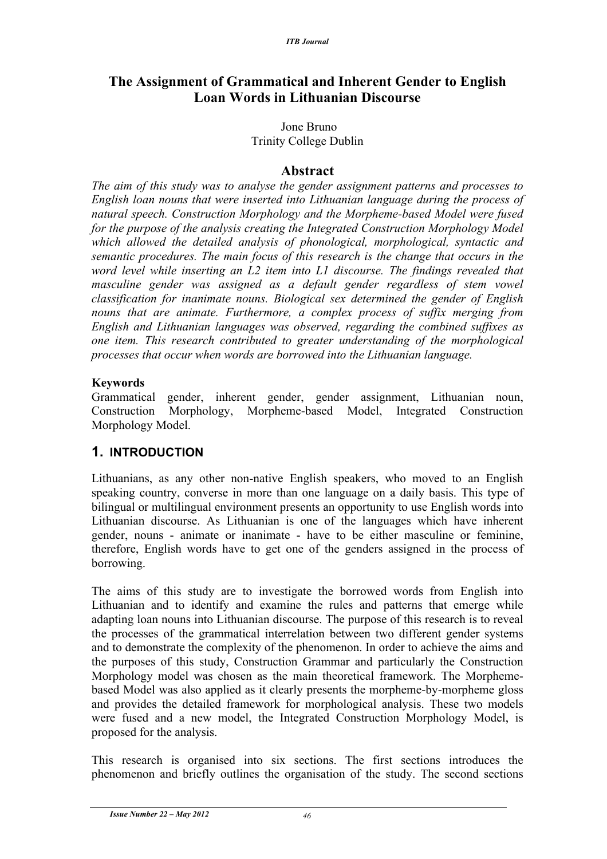### **The Assignment of Grammatical and Inherent Gender to English Loan Words in Lithuanian Discourse**

#### Jone Bruno Trinity College Dublin

### **Abstract**

*The aim of this study was to analyse the gender assignment patterns and processes to English loan nouns that were inserted into Lithuanian language during the process of natural speech. Construction Morphology and the Morpheme-based Model were fused for the purpose of the analysis creating the Integrated Construction Morphology Model which allowed the detailed analysis of phonological, morphological, syntactic and semantic procedures. The main focus of this research is the change that occurs in the word level while inserting an L2 item into L1 discourse. The findings revealed that masculine gender was assigned as a default gender regardless of stem vowel classification for inanimate nouns. Biological sex determined the gender of English nouns that are animate. Furthermore, a complex process of suffix merging from English and Lithuanian languages was observed, regarding the combined suffixes as one item. This research contributed to greater understanding of the morphological processes that occur when words are borrowed into the Lithuanian language.*

### **Keywords**

Grammatical gender, inherent gender, gender assignment, Lithuanian noun, Construction Morphology, Morpheme-based Model, Integrated Construction Morphology Model.

### **1. INTRODUCTION**

Lithuanians, as any other non-native English speakers, who moved to an English speaking country, converse in more than one language on a daily basis. This type of bilingual or multilingual environment presents an opportunity to use English words into Lithuanian discourse. As Lithuanian is one of the languages which have inherent gender, nouns - animate or inanimate - have to be either masculine or feminine, therefore, English words have to get one of the genders assigned in the process of borrowing.

The aims of this study are to investigate the borrowed words from English into Lithuanian and to identify and examine the rules and patterns that emerge while adapting loan nouns into Lithuanian discourse. The purpose of this research is to reveal the processes of the grammatical interrelation between two different gender systems and to demonstrate the complexity of the phenomenon. In order to achieve the aims and the purposes of this study, Construction Grammar and particularly the Construction Morphology model was chosen as the main theoretical framework. The Morphemebased Model was also applied as it clearly presents the morpheme-by-morpheme gloss and provides the detailed framework for morphological analysis. These two models were fused and a new model, the Integrated Construction Morphology Model, is proposed for the analysis.

This research is organised into six sections. The first sections introduces the phenomenon and briefly outlines the organisation of the study. The second sections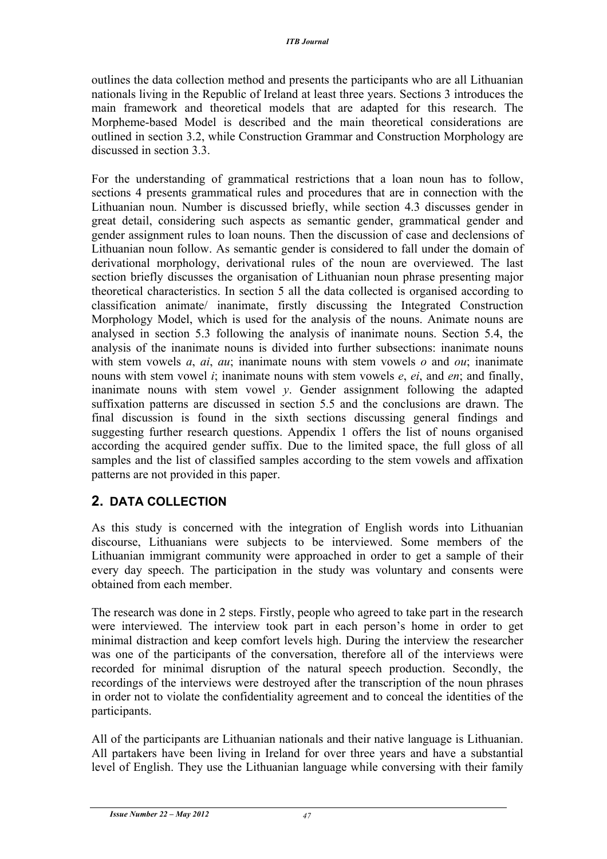outlines the data collection method and presents the participants who are all Lithuanian nationals living in the Republic of Ireland at least three years. Sections 3 introduces the main framework and theoretical models that are adapted for this research. The Morpheme-based Model is described and the main theoretical considerations are outlined in section 3.2, while Construction Grammar and Construction Morphology are discussed in section 3.3.

For the understanding of grammatical restrictions that a loan noun has to follow, sections 4 presents grammatical rules and procedures that are in connection with the Lithuanian noun. Number is discussed briefly, while section 4.3 discusses gender in great detail, considering such aspects as semantic gender, grammatical gender and gender assignment rules to loan nouns. Then the discussion of case and declensions of Lithuanian noun follow. As semantic gender is considered to fall under the domain of derivational morphology, derivational rules of the noun are overviewed. The last section briefly discusses the organisation of Lithuanian noun phrase presenting major theoretical characteristics. In section 5 all the data collected is organised according to classification animate/ inanimate, firstly discussing the Integrated Construction Morphology Model, which is used for the analysis of the nouns. Animate nouns are analysed in section 5.3 following the analysis of inanimate nouns. Section 5.4, the analysis of the inanimate nouns is divided into further subsections: inanimate nouns with stem vowels *a*, *ai*, *au*; inanimate nouns with stem vowels *o* and *ou*; inanimate nouns with stem vowel *i*; inanimate nouns with stem vowels *e*, *ei*, and *en*; and finally, inanimate nouns with stem vowel *y*. Gender assignment following the adapted suffixation patterns are discussed in section 5.5 and the conclusions are drawn. The final discussion is found in the sixth sections discussing general findings and suggesting further research questions. Appendix 1 offers the list of nouns organised according the acquired gender suffix. Due to the limited space, the full gloss of all samples and the list of classified samples according to the stem vowels and affixation patterns are not provided in this paper.

### **2. DATA COLLECTION**

As this study is concerned with the integration of English words into Lithuanian discourse, Lithuanians were subjects to be interviewed. Some members of the Lithuanian immigrant community were approached in order to get a sample of their every day speech. The participation in the study was voluntary and consents were obtained from each member.

The research was done in 2 steps. Firstly, people who agreed to take part in the research were interviewed. The interview took part in each person's home in order to get minimal distraction and keep comfort levels high. During the interview the researcher was one of the participants of the conversation, therefore all of the interviews were recorded for minimal disruption of the natural speech production. Secondly, the recordings of the interviews were destroyed after the transcription of the noun phrases in order not to violate the confidentiality agreement and to conceal the identities of the participants.

All of the participants are Lithuanian nationals and their native language is Lithuanian. All partakers have been living in Ireland for over three years and have a substantial level of English. They use the Lithuanian language while conversing with their family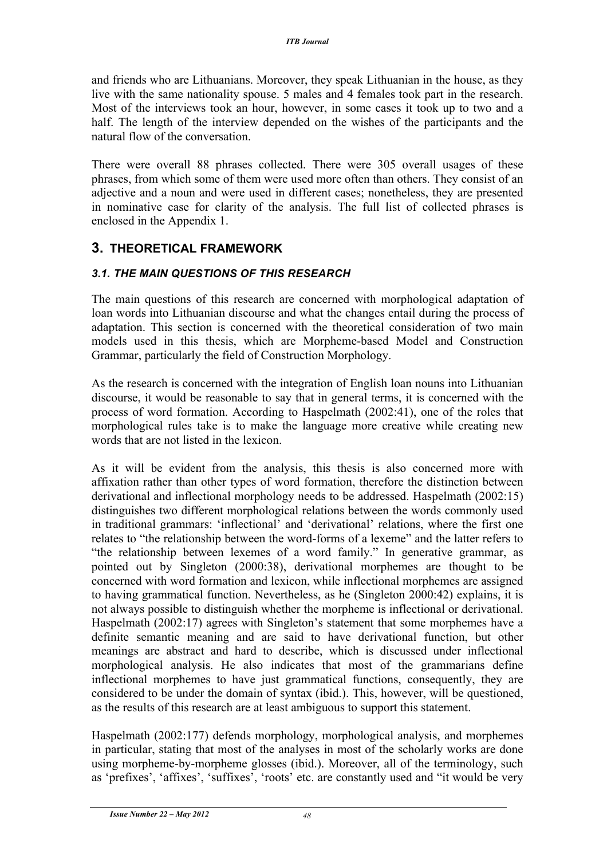and friends who are Lithuanians. Moreover, they speak Lithuanian in the house, as they live with the same nationality spouse. 5 males and 4 females took part in the research. Most of the interviews took an hour, however, in some cases it took up to two and a half. The length of the interview depended on the wishes of the participants and the natural flow of the conversation.

There were overall 88 phrases collected. There were 305 overall usages of these phrases, from which some of them were used more often than others. They consist of an adjective and a noun and were used in different cases; nonetheless, they are presented in nominative case for clarity of the analysis. The full list of collected phrases is enclosed in the Appendix 1.

### **3. THEORETICAL FRAMEWORK**

### *3.1. THE MAIN QUESTIONS OF THIS RESEARCH*

The main questions of this research are concerned with morphological adaptation of loan words into Lithuanian discourse and what the changes entail during the process of adaptation. This section is concerned with the theoretical consideration of two main models used in this thesis, which are Morpheme-based Model and Construction Grammar, particularly the field of Construction Morphology.

As the research is concerned with the integration of English loan nouns into Lithuanian discourse, it would be reasonable to say that in general terms, it is concerned with the process of word formation. According to Haspelmath (2002:41), one of the roles that morphological rules take is to make the language more creative while creating new words that are not listed in the lexicon.

As it will be evident from the analysis, this thesis is also concerned more with affixation rather than other types of word formation, therefore the distinction between derivational and inflectional morphology needs to be addressed. Haspelmath (2002:15) distinguishes two different morphological relations between the words commonly used in traditional grammars: 'inflectional' and 'derivational' relations, where the first one relates to "the relationship between the word-forms of a lexeme" and the latter refers to "the relationship between lexemes of a word family." In generative grammar, as pointed out by Singleton (2000:38), derivational morphemes are thought to be concerned with word formation and lexicon, while inflectional morphemes are assigned to having grammatical function. Nevertheless, as he (Singleton 2000:42) explains, it is not always possible to distinguish whether the morpheme is inflectional or derivational. Haspelmath (2002:17) agrees with Singleton's statement that some morphemes have a definite semantic meaning and are said to have derivational function, but other meanings are abstract and hard to describe, which is discussed under inflectional morphological analysis. He also indicates that most of the grammarians define inflectional morphemes to have just grammatical functions, consequently, they are considered to be under the domain of syntax (ibid.). This, however, will be questioned, as the results of this research are at least ambiguous to support this statement.

Haspelmath (2002:177) defends morphology, morphological analysis, and morphemes in particular, stating that most of the analyses in most of the scholarly works are done using morpheme-by-morpheme glosses (ibid.). Moreover, all of the terminology, such as 'prefixes', 'affixes', 'suffixes', 'roots' etc. are constantly used and "it would be very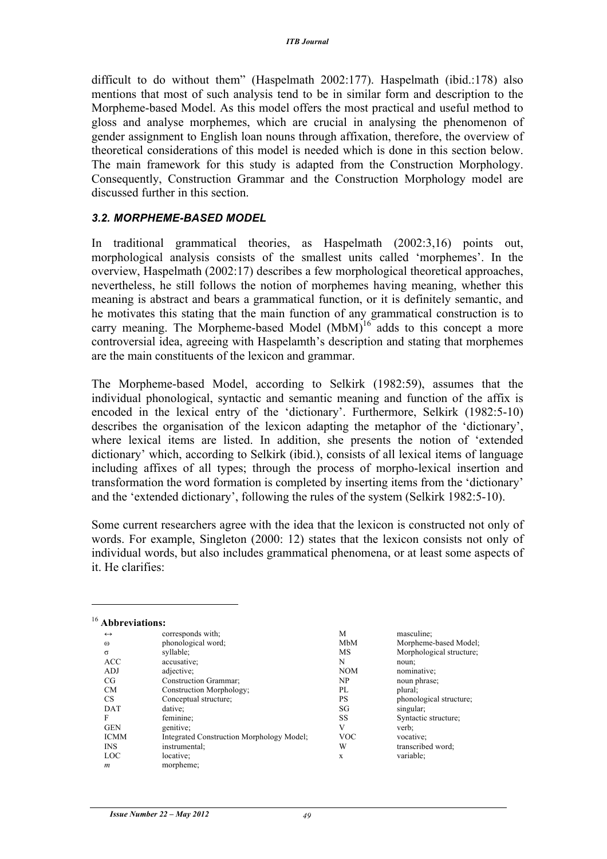difficult to do without them" (Haspelmath 2002:177). Haspelmath (ibid.:178) also mentions that most of such analysis tend to be in similar form and description to the Morpheme-based Model. As this model offers the most practical and useful method to gloss and analyse morphemes, which are crucial in analysing the phenomenon of gender assignment to English loan nouns through affixation, therefore, the overview of theoretical considerations of this model is needed which is done in this section below. The main framework for this study is adapted from the Construction Morphology. Consequently, Construction Grammar and the Construction Morphology model are discussed further in this section.

#### *3.2. MORPHEME-BASED MODEL*

In traditional grammatical theories, as Haspelmath (2002:3,16) points out, morphological analysis consists of the smallest units called 'morphemes'. In the overview, Haspelmath (2002:17) describes a few morphological theoretical approaches, nevertheless, he still follows the notion of morphemes having meaning, whether this meaning is abstract and bears a grammatical function, or it is definitely semantic, and he motivates this stating that the main function of any grammatical construction is to carry meaning. The Morpheme-based Model (MbM)<sup>16</sup> adds to this concept a more controversial idea, agreeing with Haspelamth's description and stating that morphemes are the main constituents of the lexicon and grammar.

The Morpheme-based Model, according to Selkirk (1982:59), assumes that the individual phonological, syntactic and semantic meaning and function of the affix is encoded in the lexical entry of the 'dictionary'. Furthermore, Selkirk (1982:5-10) describes the organisation of the lexicon adapting the metaphor of the 'dictionary', where lexical items are listed. In addition, she presents the notion of 'extended dictionary' which, according to Selkirk (ibid.), consists of all lexical items of language including affixes of all types; through the process of morpho-lexical insertion and transformation the word formation is completed by inserting items from the 'dictionary' and the 'extended dictionary', following the rules of the system (Selkirk 1982:5-10).

Some current researchers agree with the idea that the lexicon is constructed not only of words. For example, Singleton (2000: 12) states that the lexicon consists not only of individual words, but also includes grammatical phenomena, or at least some aspects of it. He clarifies:

| $\leftrightarrow$ | corresponds with:                         | M          | masculine;               |
|-------------------|-------------------------------------------|------------|--------------------------|
| $\omega$          | phonological word;                        | MbM        | Morpheme-based Model;    |
| $\sigma$          | syllable:                                 | MS         | Morphological structure; |
| <b>ACC</b>        | accusative;                               | N          | noun;                    |
| ADJ               | adjective:                                | <b>NOM</b> | nominative;              |
| CG                | Construction Grammar;                     | NP         | noun phrase;             |
| <b>CM</b>         | Construction Morphology;                  | PL         | plural;                  |
| CS.               | Conceptual structure;                     | PS         | phonological structure;  |
| DAT               | dative;                                   | SG         | singular;                |
| F                 | feminine;                                 | SS         | Syntactic structure;     |
| <b>GEN</b>        | genitive:                                 | V          | verb;                    |
| <b>ICMM</b>       | Integrated Construction Morphology Model; | <b>VOC</b> | vocative:                |
| <b>INS</b>        | instrumental;                             | W          | transcribed word;        |
| LOC               | locative;                                 | X          | variable:                |
| $\boldsymbol{m}$  | morpheme;                                 |            |                          |

 $\overline{a}$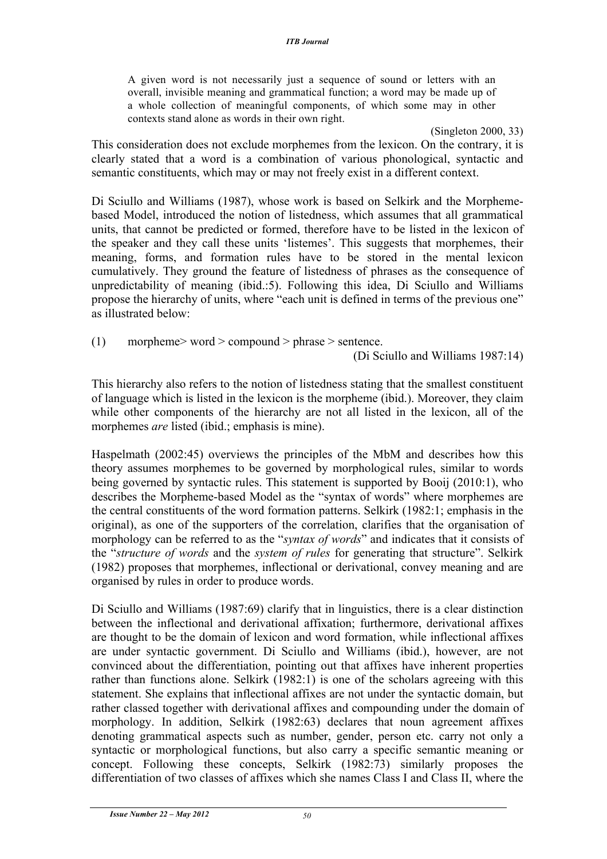A given word is not necessarily just a sequence of sound or letters with an overall, invisible meaning and grammatical function; a word may be made up of a whole collection of meaningful components, of which some may in other contexts stand alone as words in their own right.

(Singleton 2000, 33) This consideration does not exclude morphemes from the lexicon. On the contrary, it is clearly stated that a word is a combination of various phonological, syntactic and semantic constituents, which may or may not freely exist in a different context.

Di Sciullo and Williams (1987), whose work is based on Selkirk and the Morphemebased Model, introduced the notion of listedness, which assumes that all grammatical units, that cannot be predicted or formed, therefore have to be listed in the lexicon of the speaker and they call these units 'listemes'. This suggests that morphemes, their meaning, forms, and formation rules have to be stored in the mental lexicon cumulatively. They ground the feature of listedness of phrases as the consequence of unpredictability of meaning (ibid.:5). Following this idea, Di Sciullo and Williams propose the hierarchy of units, where "each unit is defined in terms of the previous one" as illustrated below:

(1) morpheme> word > compound > phrase > sentence.

(Di Sciullo and Williams 1987:14)

This hierarchy also refers to the notion of listedness stating that the smallest constituent of language which is listed in the lexicon is the morpheme (ibid.). Moreover, they claim while other components of the hierarchy are not all listed in the lexicon, all of the morphemes *are* listed (ibid.; emphasis is mine).

Haspelmath (2002:45) overviews the principles of the MbM and describes how this theory assumes morphemes to be governed by morphological rules, similar to words being governed by syntactic rules. This statement is supported by Booij (2010:1), who describes the Morpheme-based Model as the "syntax of words" where morphemes are the central constituents of the word formation patterns. Selkirk (1982:1; emphasis in the original), as one of the supporters of the correlation, clarifies that the organisation of morphology can be referred to as the "*syntax of words*" and indicates that it consists of the "*structure of words* and the *system of rules* for generating that structure". Selkirk (1982) proposes that morphemes, inflectional or derivational, convey meaning and are organised by rules in order to produce words.

Di Sciullo and Williams (1987:69) clarify that in linguistics, there is a clear distinction between the inflectional and derivational affixation; furthermore, derivational affixes are thought to be the domain of lexicon and word formation, while inflectional affixes are under syntactic government. Di Sciullo and Williams (ibid.), however, are not convinced about the differentiation, pointing out that affixes have inherent properties rather than functions alone. Selkirk (1982:1) is one of the scholars agreeing with this statement. She explains that inflectional affixes are not under the syntactic domain, but rather classed together with derivational affixes and compounding under the domain of morphology. In addition, Selkirk (1982:63) declares that noun agreement affixes denoting grammatical aspects such as number, gender, person etc. carry not only a syntactic or morphological functions, but also carry a specific semantic meaning or concept. Following these concepts, Selkirk (1982:73) similarly proposes the differentiation of two classes of affixes which she names Class I and Class II, where the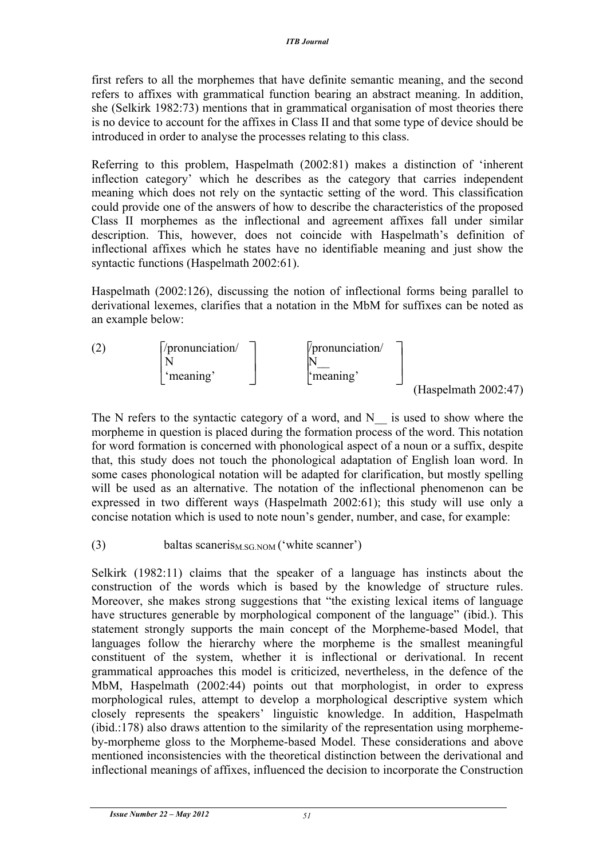first refers to all the morphemes that have definite semantic meaning, and the second refers to affixes with grammatical function bearing an abstract meaning. In addition, she (Selkirk 1982:73) mentions that in grammatical organisation of most theories there is no device to account for the affixes in Class II and that some type of device should be introduced in order to analyse the processes relating to this class.

Referring to this problem, Haspelmath (2002:81) makes a distinction of 'inherent inflection category' which he describes as the category that carries independent meaning which does not rely on the syntactic setting of the word. This classification could provide one of the answers of how to describe the characteristics of the proposed Class II morphemes as the inflectional and agreement affixes fall under similar description. This, however, does not coincide with Haspelmath's definition of inflectional affixes which he states have no identifiable meaning and just show the syntactic functions (Haspelmath 2002:61).

Haspelmath (2002:126), discussing the notion of inflectional forms being parallel to derivational lexemes, clarifies that a notation in the MbM for suffixes can be noted as an example below:



The N refers to the syntactic category of a word, and N  $\quad$  is used to show where the morpheme in question is placed during the formation process of the word. This notation for word formation is concerned with phonological aspect of a noun or a suffix, despite that, this study does not touch the phonological adaptation of English loan word. In some cases phonological notation will be adapted for clarification, but mostly spelling will be used as an alternative. The notation of the inflectional phenomenon can be expressed in two different ways (Haspelmath 2002:61); this study will use only a concise notation which is used to note noun's gender, number, and case, for example:

(3) baltas scaneris<sub>M.SG.NOM</sub> ('white scanner')

Selkirk (1982:11) claims that the speaker of a language has instincts about the construction of the words which is based by the knowledge of structure rules. Moreover, she makes strong suggestions that "the existing lexical items of language have structures generable by morphological component of the language" (ibid.). This statement strongly supports the main concept of the Morpheme-based Model, that languages follow the hierarchy where the morpheme is the smallest meaningful constituent of the system, whether it is inflectional or derivational. In recent grammatical approaches this model is criticized, nevertheless, in the defence of the MbM, Haspelmath (2002:44) points out that morphologist, in order to express morphological rules, attempt to develop a morphological descriptive system which closely represents the speakers' linguistic knowledge. In addition, Haspelmath (ibid.:178) also draws attention to the similarity of the representation using morphemeby-morpheme gloss to the Morpheme-based Model. These considerations and above mentioned inconsistencies with the theoretical distinction between the derivational and inflectional meanings of affixes, influenced the decision to incorporate the Construction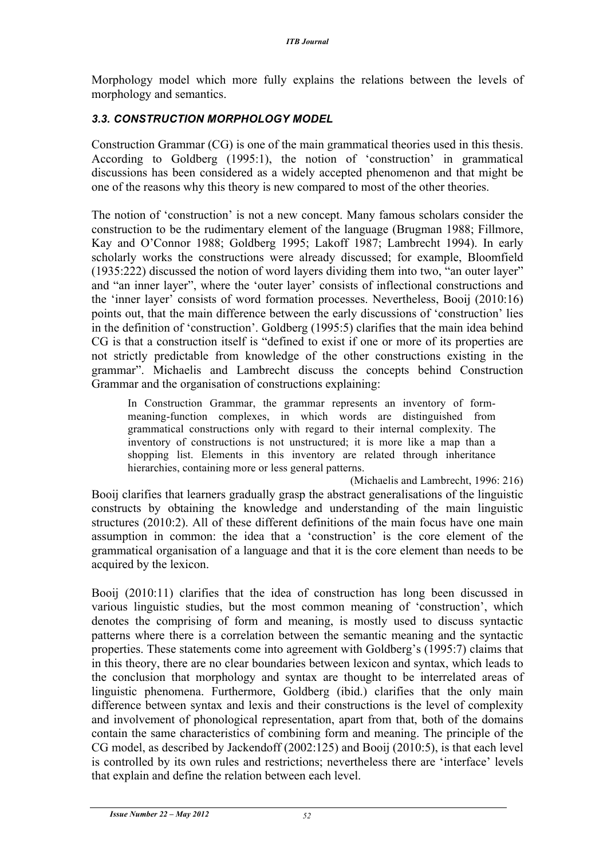Morphology model which more fully explains the relations between the levels of morphology and semantics.

### *3.3. CONSTRUCTION MORPHOLOGY MODEL*

Construction Grammar (CG) is one of the main grammatical theories used in this thesis. According to Goldberg (1995:1), the notion of 'construction' in grammatical discussions has been considered as a widely accepted phenomenon and that might be one of the reasons why this theory is new compared to most of the other theories.

The notion of 'construction' is not a new concept. Many famous scholars consider the construction to be the rudimentary element of the language (Brugman 1988; Fillmore, Kay and O'Connor 1988; Goldberg 1995; Lakoff 1987; Lambrecht 1994). In early scholarly works the constructions were already discussed; for example, Bloomfield (1935:222) discussed the notion of word layers dividing them into two, "an outer layer" and "an inner layer", where the 'outer layer' consists of inflectional constructions and the 'inner layer' consists of word formation processes. Nevertheless, Booij (2010:16) points out, that the main difference between the early discussions of 'construction' lies in the definition of 'construction'. Goldberg (1995:5) clarifies that the main idea behind CG is that a construction itself is "defined to exist if one or more of its properties are not strictly predictable from knowledge of the other constructions existing in the grammar". Michaelis and Lambrecht discuss the concepts behind Construction Grammar and the organisation of constructions explaining:

In Construction Grammar, the grammar represents an inventory of formmeaning-function complexes, in which words are distinguished from grammatical constructions only with regard to their internal complexity. The inventory of constructions is not unstructured; it is more like a map than a shopping list. Elements in this inventory are related through inheritance hierarchies, containing more or less general patterns.

(Michaelis and Lambrecht, 1996: 216) Booij clarifies that learners gradually grasp the abstract generalisations of the linguistic constructs by obtaining the knowledge and understanding of the main linguistic structures (2010:2). All of these different definitions of the main focus have one main assumption in common: the idea that a 'construction' is the core element of the grammatical organisation of a language and that it is the core element than needs to be acquired by the lexicon.

Booij (2010:11) clarifies that the idea of construction has long been discussed in various linguistic studies, but the most common meaning of 'construction', which denotes the comprising of form and meaning, is mostly used to discuss syntactic patterns where there is a correlation between the semantic meaning and the syntactic properties. These statements come into agreement with Goldberg's (1995:7) claims that in this theory, there are no clear boundaries between lexicon and syntax, which leads to the conclusion that morphology and syntax are thought to be interrelated areas of linguistic phenomena. Furthermore, Goldberg (ibid.) clarifies that the only main difference between syntax and lexis and their constructions is the level of complexity and involvement of phonological representation, apart from that, both of the domains contain the same characteristics of combining form and meaning. The principle of the CG model, as described by Jackendoff (2002:125) and Booij (2010:5), is that each level is controlled by its own rules and restrictions; nevertheless there are 'interface' levels that explain and define the relation between each level.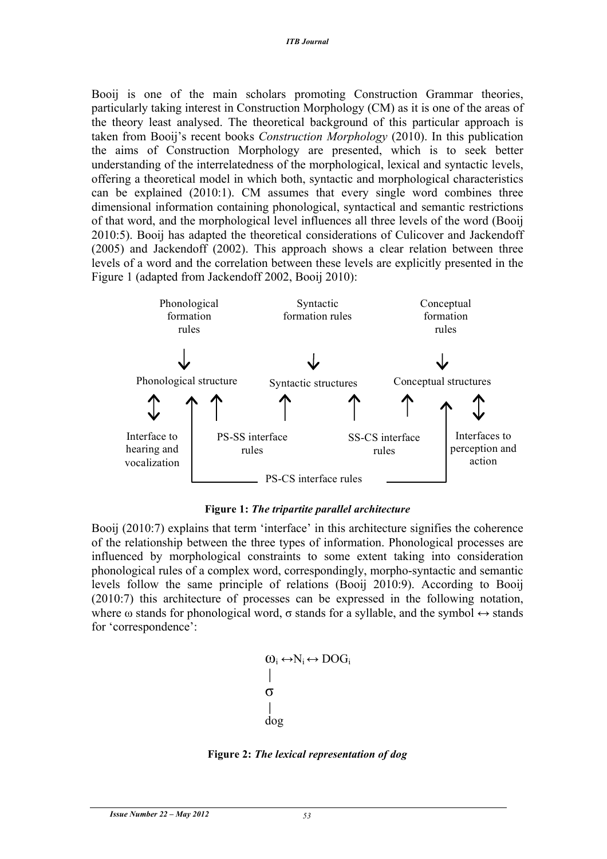Booij is one of the main scholars promoting Construction Grammar theories, particularly taking interest in Construction Morphology (CM) as it is one of the areas of the theory least analysed. The theoretical background of this particular approach is taken from Booij's recent books *Construction Morphology* (2010). In this publication the aims of Construction Morphology are presented, which is to seek better understanding of the interrelatedness of the morphological, lexical and syntactic levels, offering a theoretical model in which both, syntactic and morphological characteristics can be explained (2010:1). CM assumes that every single word combines three dimensional information containing phonological, syntactical and semantic restrictions of that word, and the morphological level influences all three levels of the word (Booij 2010:5). Booij has adapted the theoretical considerations of Culicover and Jackendoff (2005) and Jackendoff (2002). This approach shows a clear relation between three levels of a word and the correlation between these levels are explicitly presented in the Figure 1 (adapted from Jackendoff 2002, Booij 2010):



**Figure 1:** *The tripartite parallel architecture*

Booij (2010:7) explains that term 'interface' in this architecture signifies the coherence of the relationship between the three types of information. Phonological processes are influenced by morphological constraints to some extent taking into consideration phonological rules of a complex word, correspondingly, morpho-syntactic and semantic levels follow the same principle of relations (Booij 2010:9). According to Booij (2010:7) this architecture of processes can be expressed in the following notation, where  $\omega$  stands for phonological word,  $\sigma$  stands for a syllable, and the symbol  $\leftrightarrow$  stands for 'correspondence':

```
\omega_i \leftrightarrow N_i \leftrightarrow DOG_iσ
dog
```
**Figure 2:** *The lexical representation of dog*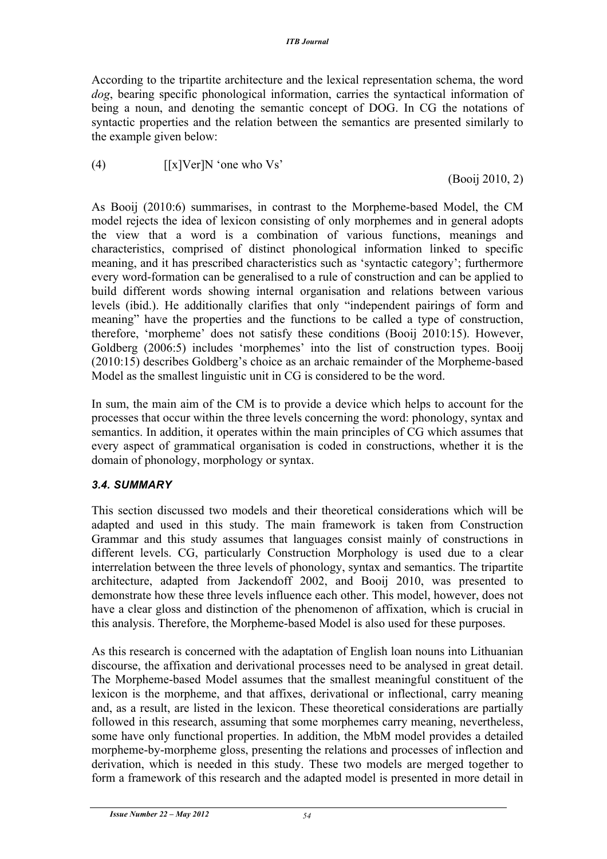According to the tripartite architecture and the lexical representation schema, the word *dog*, bearing specific phonological information, carries the syntactical information of being a noun, and denoting the semantic concept of DOG. In CG the notations of syntactic properties and the relation between the semantics are presented similarly to the example given below:

(4)  $\left[ [x] \text{Ver} \right] \text{N}$  'one who Vs'

(Booij 2010, 2)

As Booij (2010:6) summarises, in contrast to the Morpheme-based Model, the CM model rejects the idea of lexicon consisting of only morphemes and in general adopts the view that a word is a combination of various functions, meanings and characteristics, comprised of distinct phonological information linked to specific meaning, and it has prescribed characteristics such as 'syntactic category'; furthermore every word-formation can be generalised to a rule of construction and can be applied to build different words showing internal organisation and relations between various levels (ibid.). He additionally clarifies that only "independent pairings of form and meaning" have the properties and the functions to be called a type of construction, therefore, 'morpheme' does not satisfy these conditions (Booij 2010:15). However, Goldberg (2006:5) includes 'morphemes' into the list of construction types. Booij (2010:15) describes Goldberg's choice as an archaic remainder of the Morpheme-based Model as the smallest linguistic unit in CG is considered to be the word.

In sum, the main aim of the CM is to provide a device which helps to account for the processes that occur within the three levels concerning the word: phonology, syntax and semantics. In addition, it operates within the main principles of CG which assumes that every aspect of grammatical organisation is coded in constructions, whether it is the domain of phonology, morphology or syntax.

### *3.4. SUMMARY*

This section discussed two models and their theoretical considerations which will be adapted and used in this study. The main framework is taken from Construction Grammar and this study assumes that languages consist mainly of constructions in different levels. CG, particularly Construction Morphology is used due to a clear interrelation between the three levels of phonology, syntax and semantics. The tripartite architecture, adapted from Jackendoff 2002, and Booij 2010, was presented to demonstrate how these three levels influence each other. This model, however, does not have a clear gloss and distinction of the phenomenon of affixation, which is crucial in this analysis. Therefore, the Morpheme-based Model is also used for these purposes.

As this research is concerned with the adaptation of English loan nouns into Lithuanian discourse, the affixation and derivational processes need to be analysed in great detail. The Morpheme-based Model assumes that the smallest meaningful constituent of the lexicon is the morpheme, and that affixes, derivational or inflectional, carry meaning and, as a result, are listed in the lexicon. These theoretical considerations are partially followed in this research, assuming that some morphemes carry meaning, nevertheless, some have only functional properties. In addition, the MbM model provides a detailed morpheme-by-morpheme gloss, presenting the relations and processes of inflection and derivation, which is needed in this study. These two models are merged together to form a framework of this research and the adapted model is presented in more detail in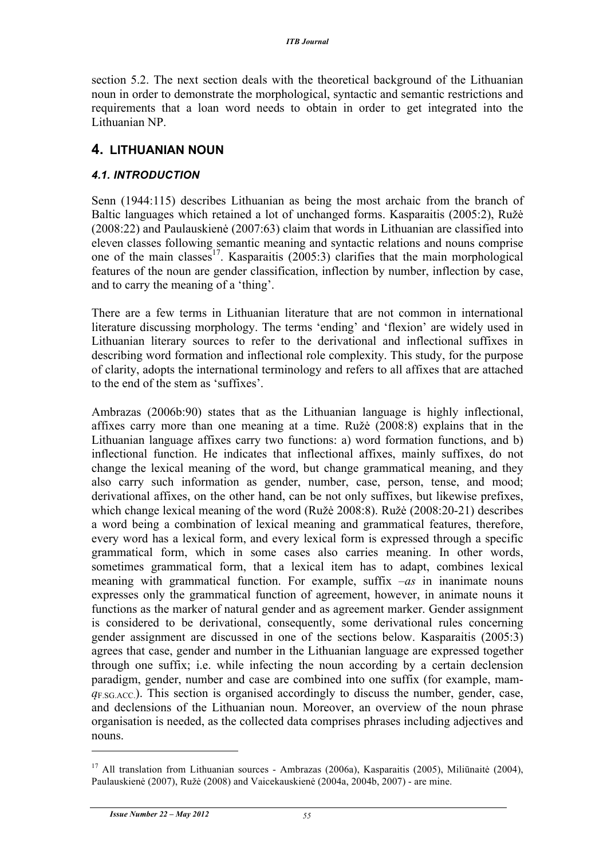section 5.2. The next section deals with the theoretical background of the Lithuanian noun in order to demonstrate the morphological, syntactic and semantic restrictions and requirements that a loan word needs to obtain in order to get integrated into the Lithuanian NP.

### **4. LITHUANIAN NOUN**

### *4.1. INTRODUCTION*

Senn (1944:115) describes Lithuanian as being the most archaic from the branch of Baltic languages which retained a lot of unchanged forms. Kasparaitis (2005:2), Ružė (2008:22) and Paulauskienė (2007:63) claim that words in Lithuanian are classified into eleven classes following semantic meaning and syntactic relations and nouns comprise one of the main classes<sup>17</sup>. Kasparaitis (2005:3) clarifies that the main morphological features of the noun are gender classification, inflection by number, inflection by case, and to carry the meaning of a 'thing'.

There are a few terms in Lithuanian literature that are not common in international literature discussing morphology. The terms 'ending' and 'flexion' are widely used in Lithuanian literary sources to refer to the derivational and inflectional suffixes in describing word formation and inflectional role complexity. This study, for the purpose of clarity, adopts the international terminology and refers to all affixes that are attached to the end of the stem as 'suffixes'.

Ambrazas (2006b:90) states that as the Lithuanian language is highly inflectional, affixes carry more than one meaning at a time. Ružė (2008:8) explains that in the Lithuanian language affixes carry two functions: a) word formation functions, and b) inflectional function. He indicates that inflectional affixes, mainly suffixes, do not change the lexical meaning of the word, but change grammatical meaning, and they also carry such information as gender, number, case, person, tense, and mood; derivational affixes, on the other hand, can be not only suffixes, but likewise prefixes, which change lexical meaning of the word (Ružė 2008:8). Ružė (2008:20-21) describes a word being a combination of lexical meaning and grammatical features, therefore, every word has a lexical form, and every lexical form is expressed through a specific grammatical form, which in some cases also carries meaning. In other words, sometimes grammatical form, that a lexical item has to adapt, combines lexical meaning with grammatical function. For example, suffix *–as* in inanimate nouns expresses only the grammatical function of agreement, however, in animate nouns it functions as the marker of natural gender and as agreement marker. Gender assignment is considered to be derivational, consequently, some derivational rules concerning gender assignment are discussed in one of the sections below. Kasparaitis (2005:3) agrees that case, gender and number in the Lithuanian language are expressed together through one suffix; i.e. while infecting the noun according by a certain declension paradigm, gender, number and case are combined into one suffix (for example, mam $q_{F,SG,ACC}$ ). This section is organised accordingly to discuss the number, gender, case, and declensions of the Lithuanian noun. Moreover, an overview of the noun phrase organisation is needed, as the collected data comprises phrases including adjectives and nouns.

 $\overline{a}$ 

<sup>&</sup>lt;sup>17</sup> All translation from Lithuanian sources - Ambrazas (2006a), Kasparaitis (2005), Miliūnaitė (2004), Paulauskienė (2007), Ružė (2008) and Vaicekauskienė (2004a, 2004b, 2007) - are mine.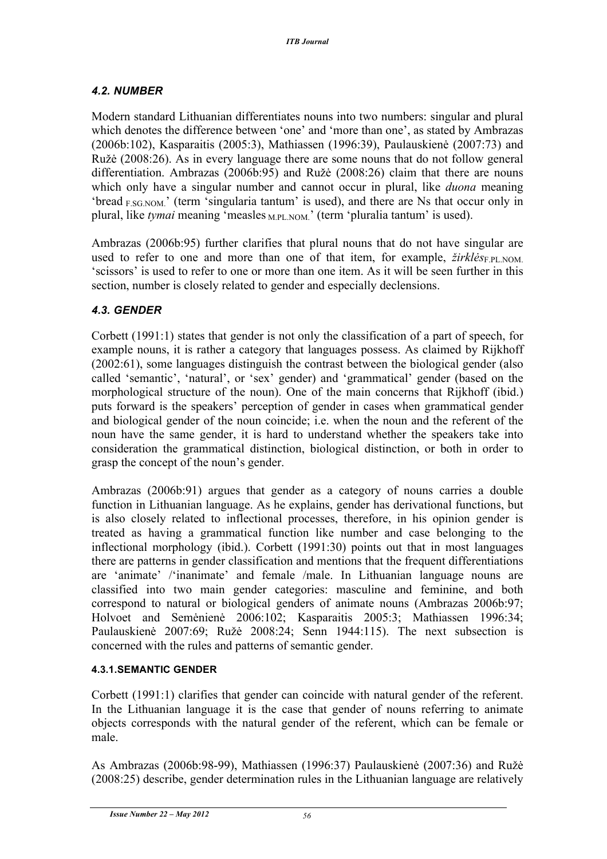### *4.2. NUMBER*

Modern standard Lithuanian differentiates nouns into two numbers: singular and plural which denotes the difference between 'one' and 'more than one', as stated by Ambrazas (2006b:102), Kasparaitis (2005:3), Mathiassen (1996:39), Paulauskienė (2007:73) and Ružė (2008:26). As in every language there are some nouns that do not follow general differentiation. Ambrazas (2006b:95) and Ružė (2008:26) claim that there are nouns which only have a singular number and cannot occur in plural, like *duona* meaning 'bread <sub>F.SG.NOM</sub>.' (term 'singularia tantum' is used), and there are Ns that occur only in plural, like *tymai* meaning 'measles <sub>M.PL.NOM.</sub>' (term 'pluralia tantum' is used).

Ambrazas (2006b:95) further clarifies that plural nouns that do not have singular are used to refer to one and more than one of that item, for example,  $\frac{\dot{z}}{\dot{x}}$ *irkl* $\dot{e}$ <sub>SFPL.NOM</sub>. 'scissors' is used to refer to one or more than one item. As it will be seen further in this section, number is closely related to gender and especially declensions.

### *4.3. GENDER*

Corbett (1991:1) states that gender is not only the classification of a part of speech, for example nouns, it is rather a category that languages possess. As claimed by Rijkhoff (2002:61), some languages distinguish the contrast between the biological gender (also called 'semantic', 'natural', or 'sex' gender) and 'grammatical' gender (based on the morphological structure of the noun). One of the main concerns that Rijkhoff (ibid.) puts forward is the speakers' perception of gender in cases when grammatical gender and biological gender of the noun coincide; i.e. when the noun and the referent of the noun have the same gender, it is hard to understand whether the speakers take into consideration the grammatical distinction, biological distinction, or both in order to grasp the concept of the noun's gender.

Ambrazas (2006b:91) argues that gender as a category of nouns carries a double function in Lithuanian language. As he explains, gender has derivational functions, but is also closely related to inflectional processes, therefore, in his opinion gender is treated as having a grammatical function like number and case belonging to the inflectional morphology (ibid.). Corbett (1991:30) points out that in most languages there are patterns in gender classification and mentions that the frequent differentiations are 'animate' /'inanimate' and female /male. In Lithuanian language nouns are classified into two main gender categories: masculine and feminine, and both correspond to natural or biological genders of animate nouns (Ambrazas 2006b:97; Holvoet and Semėnienė 2006:102; Kasparaitis 2005:3; Mathiassen 1996:34; Paulauskienė 2007:69; Ružė 2008:24; Senn 1944:115). The next subsection is concerned with the rules and patterns of semantic gender.

### **4.3.1.SEMANTIC GENDER**

Corbett (1991:1) clarifies that gender can coincide with natural gender of the referent. In the Lithuanian language it is the case that gender of nouns referring to animate objects corresponds with the natural gender of the referent, which can be female or male.

As Ambrazas (2006b:98-99), Mathiassen (1996:37) Paulauskienė (2007:36) and Ružė (2008:25) describe, gender determination rules in the Lithuanian language are relatively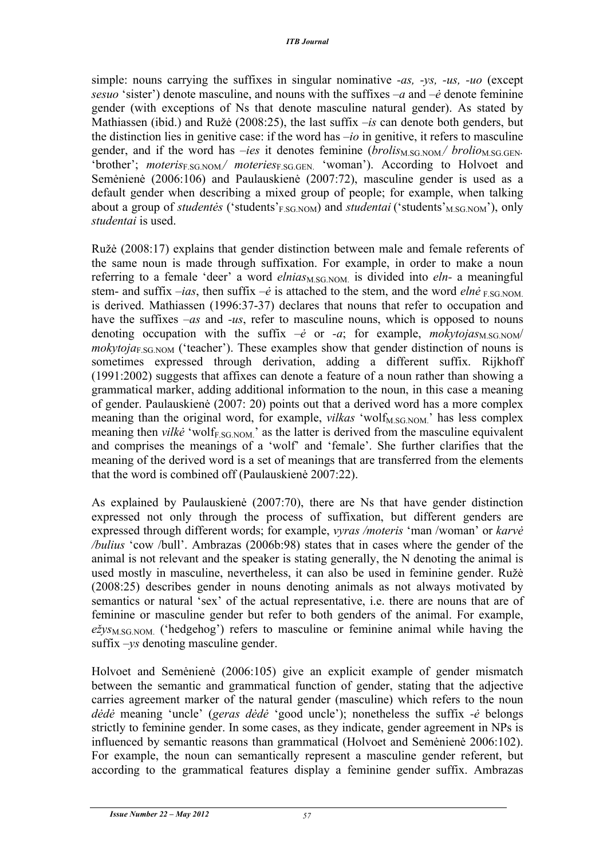simple: nouns carrying the suffixes in singular nominative *-as, -ys, -us, -uo* (except *sesuo* 'sister') denote masculine, and nouns with the suffixes *–a* and *–ė* denote feminine gender (with exceptions of Ns that denote masculine natural gender). As stated by Mathiassen (ibid.) and Ružė (2008:25), the last suffix *–is* can denote both genders, but the distinction lies in genitive case: if the word has *–io* in genitive, it refers to masculine gender, and if the word has *–ies* it denotes feminine  $(brolis_{M,SG,NOM}/brolio_{M,SG,GEN}$ . 'brother'; *moteris*<sub>F.SG.NOM</sub>/ *moteries*<sub>F.SG.GEN</sub> 'woman'). According to Holvoet and Semėnienė (2006:106) and Paulauskienė (2007:72), masculine gender is used as a default gender when describing a mixed group of people; for example, when talking about a group of *studentes* ('students'<sub>F.SG.NOM</sub>) and *studentai* ('students'<sub>M.SG.NOM</sub>'), only *studentai* is used.

Ružė (2008:17) explains that gender distinction between male and female referents of the same noun is made through suffixation. For example, in order to make a noun referring to a female 'deer' a word *elnias*<sub>M.SG.NOM</sub> is divided into *eln*- a meaningful stem- and suffix *–ias*, then suffix  $-\dot{e}$  is attached to the stem, and the word  $eln\dot{e}$  FSG NOM. is derived. Mathiassen (1996:37-37) declares that nouns that refer to occupation and have the suffixes *–as* and *-us*, refer to masculine nouns, which is opposed to nouns denoting occupation with the suffix  $-\dot{e}$  or  $-a$ ; for example, *mokytojas*<sub>M.SG.NOM</sub>/  $mokytoja<sub>ESGNOM</sub>$  ('teacher'). These examples show that gender distinction of nouns is sometimes expressed through derivation, adding a different suffix. Rijkhoff (1991:2002) suggests that affixes can denote a feature of a noun rather than showing a grammatical marker, adding additional information to the noun, in this case a meaning of gender. Paulauskienė (2007: 20) points out that a derived word has a more complex meaning than the original word, for example, *vilkas* 'wolf<sub>M.SG.NOM.' has less complex</sub> meaning then *vilke* 'wolf<sub>F.SG.NOM</sub>' as the latter is derived from the masculine equivalent and comprises the meanings of a 'wolf' and 'female'. She further clarifies that the meaning of the derived word is a set of meanings that are transferred from the elements that the word is combined off (Paulauskienė 2007:22).

As explained by Paulauskienė (2007:70), there are Ns that have gender distinction expressed not only through the process of suffixation, but different genders are expressed through different words; for example, *vyras /moteris* 'man /woman' or *karvė /bulius* 'cow /bull'. Ambrazas (2006b:98) states that in cases where the gender of the animal is not relevant and the speaker is stating generally, the N denoting the animal is used mostly in masculine, nevertheless, it can also be used in feminine gender. Ružė (2008:25) describes gender in nouns denoting animals as not always motivated by semantics or natural 'sex' of the actual representative, i.e. there are nouns that are of feminine or masculine gender but refer to both genders of the animal. For example,  $e\zeta y s_{\text{M.SG,NOM}}$  ('hedgehog') refers to masculine or feminine animal while having the suffix *–ys* denoting masculine gender.

Holvoet and Semėnienė (2006:105) give an explicit example of gender mismatch between the semantic and grammatical function of gender, stating that the adjective carries agreement marker of the natural gender (masculine) which refers to the noun *dėdė* meaning 'uncle' (*geras dėdė* 'good uncle'); nonetheless the suffix *-ė* belongs strictly to feminine gender. In some cases, as they indicate, gender agreement in NPs is influenced by semantic reasons than grammatical (Holvoet and Semėnienė 2006:102). For example, the noun can semantically represent a masculine gender referent, but according to the grammatical features display a feminine gender suffix. Ambrazas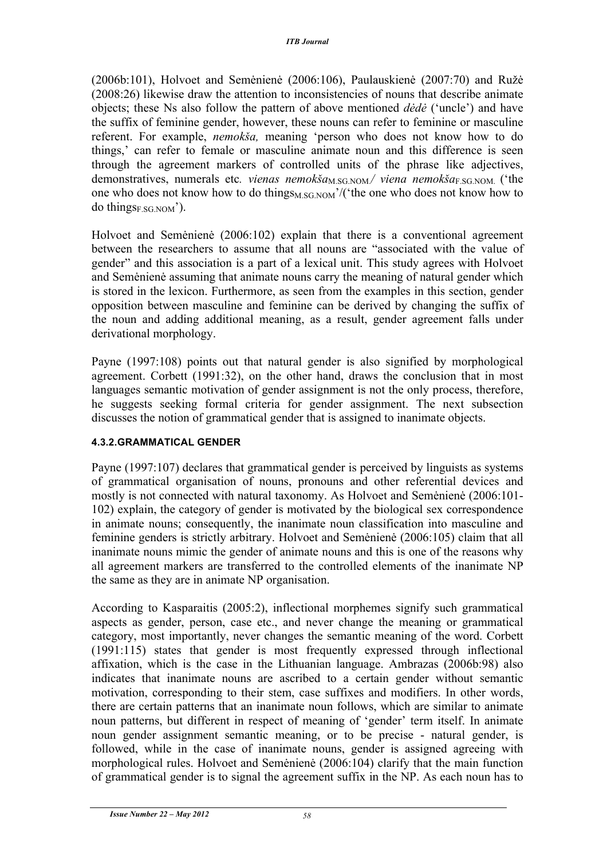(2006b:101), Holvoet and Semėnienė (2006:106), Paulauskienė (2007:70) and Ružė (2008:26) likewise draw the attention to inconsistencies of nouns that describe animate objects; these Ns also follow the pattern of above mentioned *dėdė* ('uncle') and have the suffix of feminine gender, however, these nouns can refer to feminine or masculine referent. For example, *nemokša,* meaning 'person who does not know how to do things,' can refer to female or masculine animate noun and this difference is seen through the agreement markers of controlled units of the phrase like adjectives, demonstratives, numerals etc. *vienas nemokša*<sub>M.SG.NOM</sub> viena nemokša<sub>E.SG.NOM</sub> ('the one who does not know how to do things<sub>M.SG.NOM</sub>'/('the one who does not know how to do things<sub>F</sub>  $SGNOM$ <sup>'</sup>).

Holvoet and Semėnienė (2006:102) explain that there is a conventional agreement between the researchers to assume that all nouns are "associated with the value of gender" and this association is a part of a lexical unit. This study agrees with Holvoet and Semėnienė assuming that animate nouns carry the meaning of natural gender which is stored in the lexicon. Furthermore, as seen from the examples in this section, gender opposition between masculine and feminine can be derived by changing the suffix of the noun and adding additional meaning, as a result, gender agreement falls under derivational morphology.

Payne (1997:108) points out that natural gender is also signified by morphological agreement. Corbett (1991:32), on the other hand, draws the conclusion that in most languages semantic motivation of gender assignment is not the only process, therefore, he suggests seeking formal criteria for gender assignment. The next subsection discusses the notion of grammatical gender that is assigned to inanimate objects.

#### **4.3.2.GRAMMATICAL GENDER**

Payne (1997:107) declares that grammatical gender is perceived by linguists as systems of grammatical organisation of nouns, pronouns and other referential devices and mostly is not connected with natural taxonomy. As Holvoet and Semėnienė (2006:101- 102) explain, the category of gender is motivated by the biological sex correspondence in animate nouns; consequently, the inanimate noun classification into masculine and feminine genders is strictly arbitrary. Holvoet and Semėnienė (2006:105) claim that all inanimate nouns mimic the gender of animate nouns and this is one of the reasons why all agreement markers are transferred to the controlled elements of the inanimate NP the same as they are in animate NP organisation.

According to Kasparaitis (2005:2), inflectional morphemes signify such grammatical aspects as gender, person, case etc., and never change the meaning or grammatical category, most importantly, never changes the semantic meaning of the word. Corbett (1991:115) states that gender is most frequently expressed through inflectional affixation, which is the case in the Lithuanian language. Ambrazas (2006b:98) also indicates that inanimate nouns are ascribed to a certain gender without semantic motivation, corresponding to their stem, case suffixes and modifiers. In other words, there are certain patterns that an inanimate noun follows, which are similar to animate noun patterns, but different in respect of meaning of 'gender' term itself. In animate noun gender assignment semantic meaning, or to be precise - natural gender, is followed, while in the case of inanimate nouns, gender is assigned agreeing with morphological rules. Holvoet and Semėnienė (2006:104) clarify that the main function of grammatical gender is to signal the agreement suffix in the NP. As each noun has to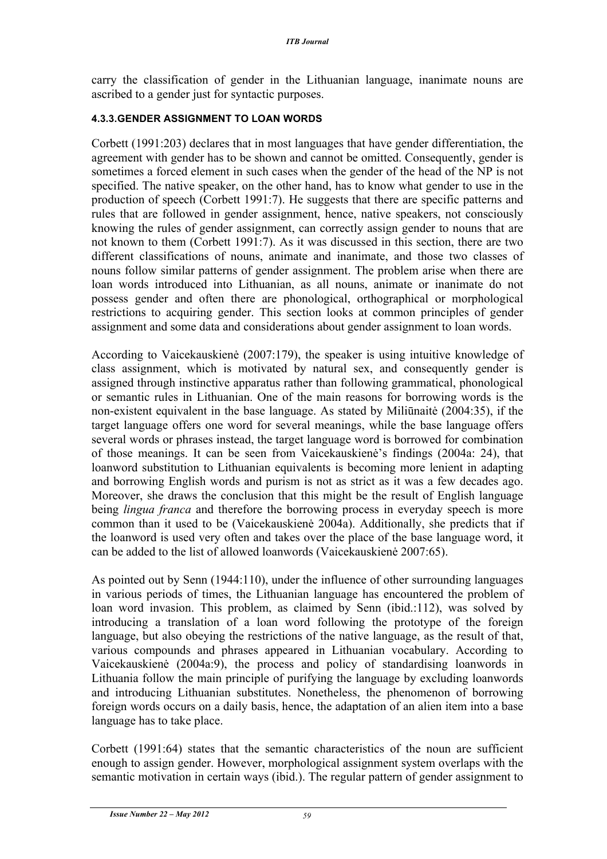carry the classification of gender in the Lithuanian language, inanimate nouns are ascribed to a gender just for syntactic purposes.

#### **4.3.3.GENDER ASSIGNMENT TO LOAN WORDS**

Corbett (1991:203) declares that in most languages that have gender differentiation, the agreement with gender has to be shown and cannot be omitted. Consequently, gender is sometimes a forced element in such cases when the gender of the head of the NP is not specified. The native speaker, on the other hand, has to know what gender to use in the production of speech (Corbett 1991:7). He suggests that there are specific patterns and rules that are followed in gender assignment, hence, native speakers, not consciously knowing the rules of gender assignment, can correctly assign gender to nouns that are not known to them (Corbett 1991:7). As it was discussed in this section, there are two different classifications of nouns, animate and inanimate, and those two classes of nouns follow similar patterns of gender assignment. The problem arise when there are loan words introduced into Lithuanian, as all nouns, animate or inanimate do not possess gender and often there are phonological, orthographical or morphological restrictions to acquiring gender. This section looks at common principles of gender assignment and some data and considerations about gender assignment to loan words.

According to Vaicekauskienė (2007:179), the speaker is using intuitive knowledge of class assignment, which is motivated by natural sex, and consequently gender is assigned through instinctive apparatus rather than following grammatical, phonological or semantic rules in Lithuanian. One of the main reasons for borrowing words is the non-existent equivalent in the base language. As stated by Miliūnaitė (2004:35), if the target language offers one word for several meanings, while the base language offers several words or phrases instead, the target language word is borrowed for combination of those meanings. It can be seen from Vaicekauskienė's findings (2004a: 24), that loanword substitution to Lithuanian equivalents is becoming more lenient in adapting and borrowing English words and purism is not as strict as it was a few decades ago. Moreover, she draws the conclusion that this might be the result of English language being *lingua franca* and therefore the borrowing process in everyday speech is more common than it used to be (Vaicekauskienė 2004a). Additionally, she predicts that if the loanword is used very often and takes over the place of the base language word, it can be added to the list of allowed loanwords (Vaicekauskienė 2007:65).

As pointed out by Senn (1944:110), under the influence of other surrounding languages in various periods of times, the Lithuanian language has encountered the problem of loan word invasion. This problem, as claimed by Senn (ibid.:112), was solved by introducing a translation of a loan word following the prototype of the foreign language, but also obeying the restrictions of the native language, as the result of that, various compounds and phrases appeared in Lithuanian vocabulary. According to Vaicekauskienė (2004a:9), the process and policy of standardising loanwords in Lithuania follow the main principle of purifying the language by excluding loanwords and introducing Lithuanian substitutes. Nonetheless, the phenomenon of borrowing foreign words occurs on a daily basis, hence, the adaptation of an alien item into a base language has to take place.

Corbett (1991:64) states that the semantic characteristics of the noun are sufficient enough to assign gender. However, morphological assignment system overlaps with the semantic motivation in certain ways (ibid.). The regular pattern of gender assignment to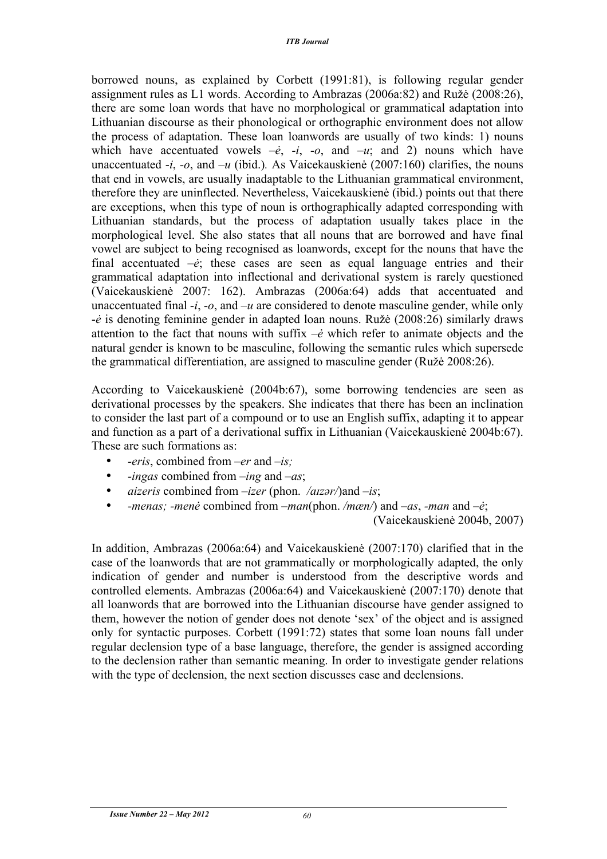borrowed nouns, as explained by Corbett (1991:81), is following regular gender assignment rules as L1 words. According to Ambrazas (2006a:82) and Ružė (2008:26), there are some loan words that have no morphological or grammatical adaptation into Lithuanian discourse as their phonological or orthographic environment does not allow the process of adaptation. These loan loanwords are usually of two kinds: 1) nouns which have accentuated vowels  $-\dot{e}$ ,  $-i$ ,  $-o$ , and  $-u$ ; and 2) nouns which have unaccentuated -*i*, *-o*, and *–u* (ibid.)*.* As Vaicekauskienė (2007:160) clarifies, the nouns that end in vowels, are usually inadaptable to the Lithuanian grammatical environment, therefore they are uninflected. Nevertheless, Vaicekauskienė (ibid.) points out that there are exceptions, when this type of noun is orthographically adapted corresponding with Lithuanian standards, but the process of adaptation usually takes place in the morphological level. She also states that all nouns that are borrowed and have final vowel are subject to being recognised as loanwords, except for the nouns that have the final accentuated *–ė*; these cases are seen as equal language entries and their grammatical adaptation into inflectional and derivational system is rarely questioned (Vaicekauskienė 2007: 162). Ambrazas (2006a:64) adds that accentuated and unaccentuated final *-i*, *-o*, and *–u* are considered to denote masculine gender, while only -*ė* is denoting feminine gender in adapted loan nouns. Ružė (2008:26) similarly draws attention to the fact that nouns with suffix *–ė* which refer to animate objects and the natural gender is known to be masculine, following the semantic rules which supersede the grammatical differentiation, are assigned to masculine gender (Ružė 2008:26).

According to Vaicekauskienė (2004b:67), some borrowing tendencies are seen as derivational processes by the speakers. She indicates that there has been an inclination to consider the last part of a compound or to use an English suffix, adapting it to appear and function as a part of a derivational suffix in Lithuanian (Vaicekauskienė 2004b:67). These are such formations as:

- *-eris*, combined from *–er* and *–is;*
- *-ingas* combined from –*ing* and *–as*;
- *aizeris* combined from –*izer* (phon. */aɪzər/*)and *–is*;
- *-menas; -menė* combined from *–man*(phon. */mæn/*) and *–as*, *-man* and *–ė*;

(Vaicekauskienė 2004b, 2007)

In addition, Ambrazas (2006a:64) and Vaicekauskienė (2007:170) clarified that in the case of the loanwords that are not grammatically or morphologically adapted, the only indication of gender and number is understood from the descriptive words and controlled elements. Ambrazas (2006a:64) and Vaicekauskienė (2007:170) denote that all loanwords that are borrowed into the Lithuanian discourse have gender assigned to them, however the notion of gender does not denote 'sex' of the object and is assigned only for syntactic purposes. Corbett (1991:72) states that some loan nouns fall under regular declension type of a base language, therefore, the gender is assigned according to the declension rather than semantic meaning. In order to investigate gender relations with the type of declension, the next section discusses case and declensions.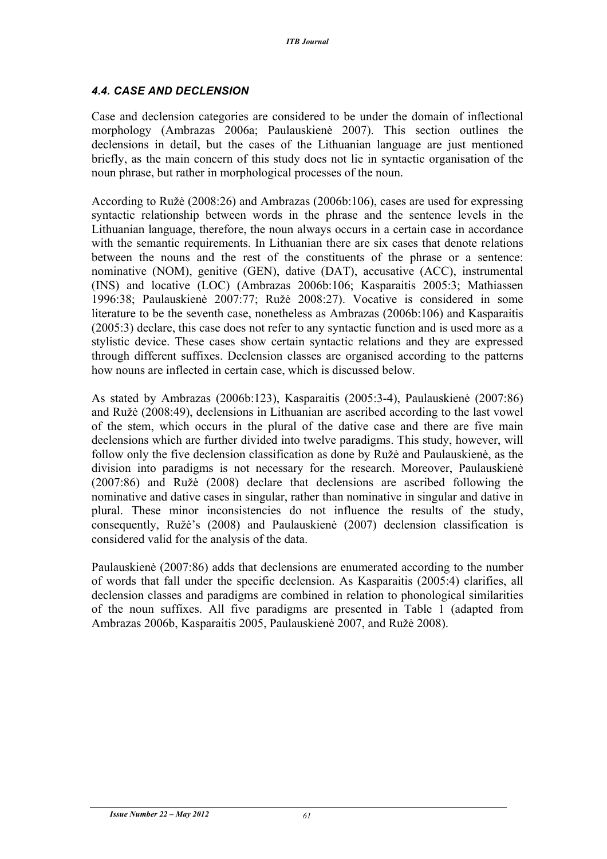### *4.4. CASE AND DECLENSION*

Case and declension categories are considered to be under the domain of inflectional morphology (Ambrazas 2006a; Paulauskienė 2007). This section outlines the declensions in detail, but the cases of the Lithuanian language are just mentioned briefly, as the main concern of this study does not lie in syntactic organisation of the noun phrase, but rather in morphological processes of the noun.

According to Ružė (2008:26) and Ambrazas (2006b:106), cases are used for expressing syntactic relationship between words in the phrase and the sentence levels in the Lithuanian language, therefore, the noun always occurs in a certain case in accordance with the semantic requirements. In Lithuanian there are six cases that denote relations between the nouns and the rest of the constituents of the phrase or a sentence: nominative (NOM), genitive (GEN), dative (DAT), accusative (ACC), instrumental (INS) and locative (LOC) (Ambrazas 2006b:106; Kasparaitis 2005:3; Mathiassen 1996:38; Paulauskienė 2007:77; Ružė 2008:27). Vocative is considered in some literature to be the seventh case, nonetheless as Ambrazas (2006b:106) and Kasparaitis (2005:3) declare, this case does not refer to any syntactic function and is used more as a stylistic device. These cases show certain syntactic relations and they are expressed through different suffixes. Declension classes are organised according to the patterns how nouns are inflected in certain case, which is discussed below.

As stated by Ambrazas (2006b:123), Kasparaitis (2005:3-4), Paulauskienė (2007:86) and Ružė (2008:49), declensions in Lithuanian are ascribed according to the last vowel of the stem, which occurs in the plural of the dative case and there are five main declensions which are further divided into twelve paradigms. This study, however, will follow only the five declension classification as done by Ružė and Paulauskienė, as the division into paradigms is not necessary for the research. Moreover, Paulauskienė (2007:86) and Ružė (2008) declare that declensions are ascribed following the nominative and dative cases in singular, rather than nominative in singular and dative in plural. These minor inconsistencies do not influence the results of the study, consequently, Ružė's (2008) and Paulauskienė (2007) declension classification is considered valid for the analysis of the data.

Paulauskienė (2007:86) adds that declensions are enumerated according to the number of words that fall under the specific declension. As Kasparaitis (2005:4) clarifies, all declension classes and paradigms are combined in relation to phonological similarities of the noun suffixes. All five paradigms are presented in Table 1 (adapted from Ambrazas 2006b, Kasparaitis 2005, Paulauskienė 2007, and Ružė 2008).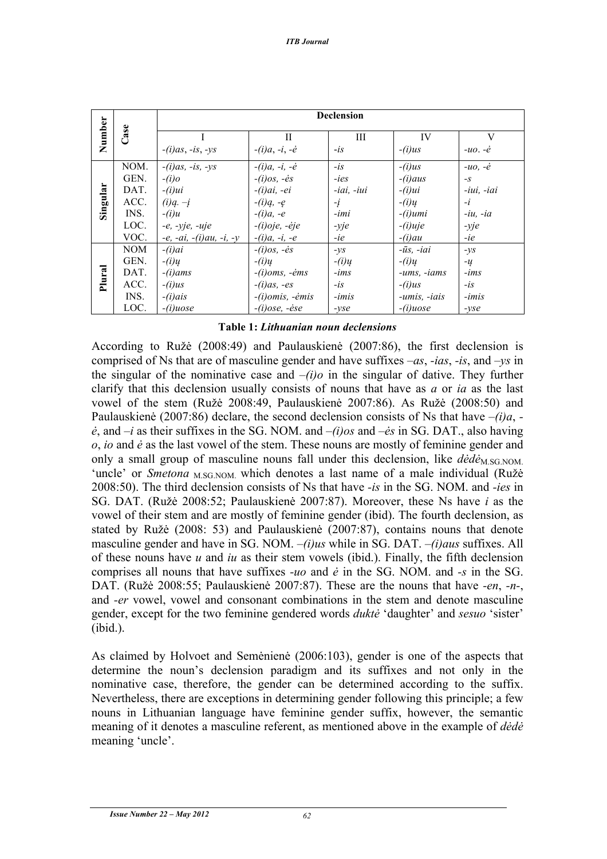|          |            | <b>Declension</b>         |                         |                 |                      |                    |  |
|----------|------------|---------------------------|-------------------------|-----------------|----------------------|--------------------|--|
| Number   | Case       |                           | H                       | Ш               | IV                   | V                  |  |
|          |            | $-(i)$ as, $-is$ , $-ys$  | $-i$ , $-i$ , $-i$      | $-$ is          | $-(i)us$             | $-uo. -\dot{e}$    |  |
|          | NOM.       | $-(i)$ as, $-is$ , $-ys$  | $-i$ , $-i$ , $-i$      | $-is$           | $-(i)us$             | $-uo$ . $-\dot{e}$ |  |
|          | GEN.       | $-(i)$ o                  | $-(i)$ os, $-$ ės       | -ies            | $-(i)$ aus           | $-S$               |  |
|          | DAT.       | $-i)$ ui                  | $-(i)ai, -ei$           | $-iai$ , $-iui$ | $-i)$ ui             | $-iui$ . $-iai$    |  |
|          | ACC.       | $(i)q. -j$                | $-(i)a, -e$             | -į              | $-(i)u$              | $-i$               |  |
| Singular | INS.       | $-(i)u$                   | $-(i)a, -e$             | -imi            | $-(i)$ umi           | $-iu$ , $-ia$      |  |
|          | LOC.       | $-e$ , $-yje$ , $-uje$    | $-(i)$ oje, -ėje        | $-yje$          | $-(i)$ uje           | $-yje$             |  |
|          | VOC.       | $-e, -ai, -(i)au, -i, -y$ | $-(i)a, -i, -e$         | -ie             | $-i)$ au             | -ie                |  |
|          | <b>NOM</b> | $-i$ ) $ai$               | $-(i)$ os, $-$ ės       | $-ys$           | $-\bar{u}s$ , $-iai$ | $-ys$              |  |
|          | GEN.       | $-(i)u$                   | $-(i)u$                 | $-(i)u$         | $-(i)u$              | $-u$               |  |
|          | DAT.       | $-(i)ams$                 | $-(i)$ oms, $-$ ėms     | $-ims$          | $-ums, -iams$        | $-ims$             |  |
| Plural   | ACC.       | $-(i)us$                  | $-(i)$ as, $-es$        | $-is$           | $-(i)us$             | $-$ is             |  |
|          | INS.       | $-(i)$ ais                | $-(i)omis, -\dot{emis}$ | $-imis$         | -umis, -iais         | $-imis$            |  |
|          | LOC.       | $-i)$ uose                | $-(i)$ ose, -ėse        | $-vse$          | $-(i)$ uose          | $-vse$             |  |

#### **Table 1:** *Lithuanian noun declensions*

According to Ružė (2008:49) and Paulauskienė (2007:86), the first declension is comprised of Ns that are of masculine gender and have suffixes *–as*, *-ias*, *-is*, and *–ys* in the singular of the nominative case and *–(i)o* in the singular of dative. They further clarify that this declension usually consists of nouns that have as *a* or *ia* as the last vowel of the stem (Ružė 2008:49, Paulauskienė 2007:86). As Ružė (2008:50) and Paulauskienė (2007:86) declare, the second declension consists of Ns that have *–(i)a*,  *ė*, and *–i* as their suffixes in the SG. NOM. and *–(i)os* and *–ės* in SG. DAT., also having *o*, *io* and *ė* as the last vowel of the stem. These nouns are mostly of feminine gender and only a small group of masculine nouns fall under this declension, like  $\frac{d\dot{\theta}}{dx}$  SG NOM. 'uncle' or *Smetona* <sub>M.SG.NOM.</sub> which denotes a last name of a male individual (Ružė 2008:50). The third declension consists of Ns that have *-is* in the SG. NOM. and *-ies* in SG. DAT. (Ružė 2008:52; Paulauskienė 2007:87). Moreover, these Ns have *i* as the vowel of their stem and are mostly of feminine gender (ibid). The fourth declension, as stated by Ružė (2008: 53) and Paulauskienė (2007:87), contains nouns that denote masculine gender and have in SG. NOM. *–(i)us* while in SG. DAT. *–(i)aus* suffixes. All of these nouns have *u* and *iu* as their stem vowels (ibid.). Finally, the fifth declension comprises all nouns that have suffixes *-uo* and *ė* in the SG. NOM. and *-s* in the SG. DAT. (Ružė 2008:55; Paulauskienė 2007:87). These are the nouns that have *-en*, *-n-*, and *-er* vowel, vowel and consonant combinations in the stem and denote masculine gender, except for the two feminine gendered words *duktė* 'daughter' and *sesuo* 'sister' (ibid.). meaning 'uncle'. **Number Case**

As claimed by Holvoet and Semėnienė (2006:103), gender is one of the aspects that determine the noun's declension paradigm and its suffixes and not only in the nominative case, therefore, the gender can be determined according to the suffix. Nevertheless, there are exceptions in determining gender following this principle; a few nouns in Lithuanian language have feminine gender suffix, however, the semantic meaning of it denotes a masculine referent, as mentioned above in the example of *dėdė* meaning 'uncle'.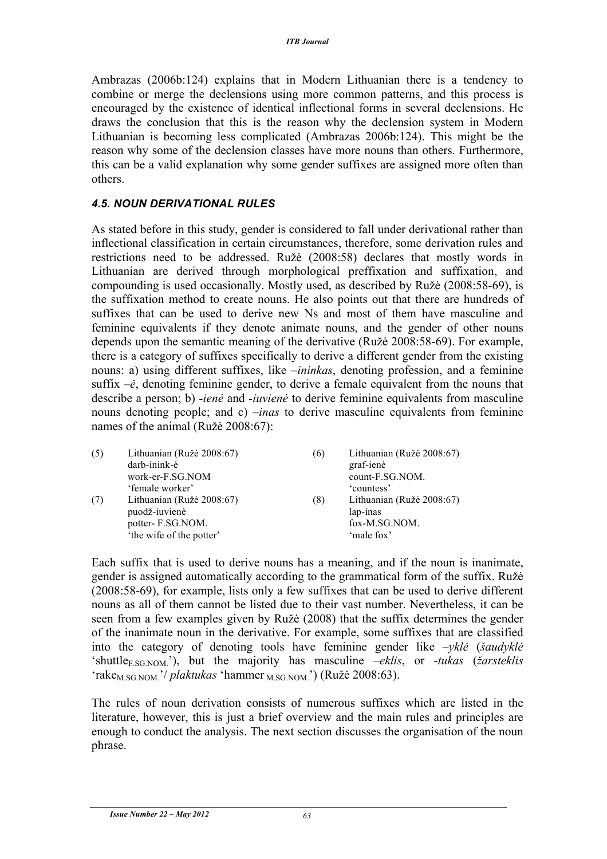Ambrazas (2006b:124) explains that in Modern Lithuanian there is a tendency to combine or merge the declensions using more common patterns, and this process is encouraged by the existence of identical inflectional forms in several declensions. He draws the conclusion that this is the reason why the declension system in Modern Lithuanian is becoming less complicated (Ambrazas 2006b:124). This might be the reason why some of the declension classes have more nouns than others. Furthermore, this can be a valid explanation why some gender suffixes are assigned more often than others.

### *4.5. NOUN DERIVATIONAL RULES*

As stated before in this study, gender is considered to fall under derivational rather than inflectional classification in certain circumstances, therefore, some derivation rules and restrictions need to be addressed. Ružė (2008:58) declares that mostly words in Lithuanian are derived through morphological preffixation and suffixation, and compounding is used occasionally. Mostly used, as described by Ružė (2008:58-69), is the suffixation method to create nouns. He also points out that there are hundreds of suffixes that can be used to derive new Ns and most of them have masculine and feminine equivalents if they denote animate nouns, and the gender of other nouns depends upon the semantic meaning of the derivative (Ružė 2008:58-69). For example, there is a category of suffixes specifically to derive a different gender from the existing nouns: a) using different suffixes, like *–ininkas*, denoting profession, and a feminine suffix *–ė*, denoting feminine gender, to derive a female equivalent from the nouns that describe a person; b) *-ienė* and *-iuvienė* to derive feminine equivalents from masculine nouns denoting people; and c) *–inas* to derive masculine equivalents from feminine names of the animal (Ružė 2008:67):

| (5) | Lithuanian (Ružė 2008:67)<br>darb-inink-ė<br>work-er-F.SG.NOM<br>'female worker'           | (6) | Lithuanian (Ružė 2008:67)<br>graf-ienė<br>count-F.SG.NOM.<br>countess' |
|-----|--------------------------------------------------------------------------------------------|-----|------------------------------------------------------------------------|
| (7) | Lithuanian (Ružė 2008:67)<br>puodž-iuvienė<br>potter-F.SG.NOM.<br>'the wife of the potter' | (8) | Lithuanian (Ružė 2008:67)<br>lap-inas<br>fox-M.SG.NOM.<br>'male fox'   |

Each suffix that is used to derive nouns has a meaning, and if the noun is inanimate, gender is assigned automatically according to the grammatical form of the suffix. Ružė (2008:58-69), for example, lists only a few suffixes that can be used to derive different nouns as all of them cannot be listed due to their vast number. Nevertheless, it can be seen from a few examples given by Ružė (2008) that the suffix determines the gender of the inanimate noun in the derivative. For example, some suffixes that are classified into the category of denoting tools have feminine gender like *–yklė* (*šaudyklė* 'shuttleF.SG.NOM.'), but the majority has masculine *–eklis*, or *-tukas* (*žarsteklis* 'rake<sub>M.SG.NOM</sub>.'/ *plaktukas* 'hammer <sub>M.SG.NOM</sub>.') (Ružė 2008:63).

The rules of noun derivation consists of numerous suffixes which are listed in the literature, however, this is just a brief overview and the main rules and principles are enough to conduct the analysis. The next section discusses the organisation of the noun phrase.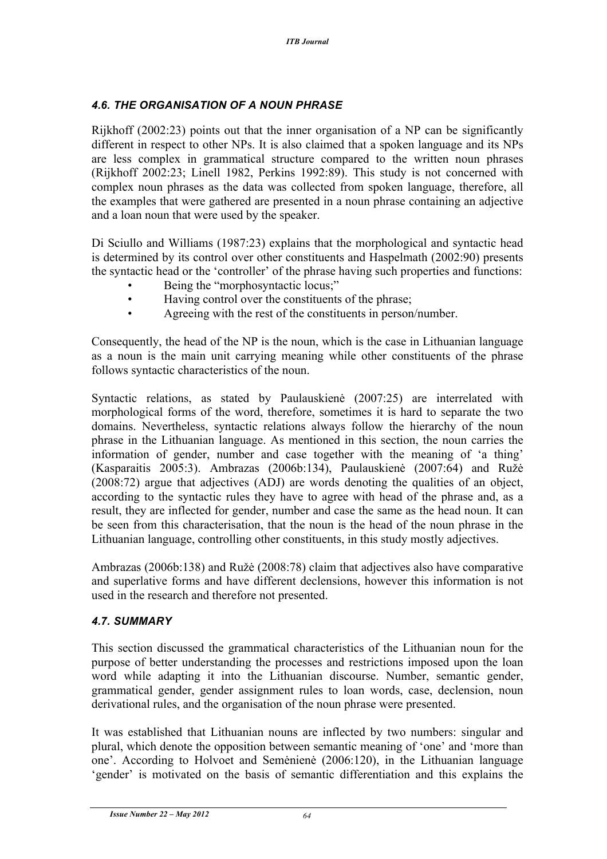### *4.6. THE ORGANISATION OF A NOUN PHRASE*

Rijkhoff (2002:23) points out that the inner organisation of a NP can be significantly different in respect to other NPs. It is also claimed that a spoken language and its NPs are less complex in grammatical structure compared to the written noun phrases (Rijkhoff 2002:23; Linell 1982, Perkins 1992:89). This study is not concerned with complex noun phrases as the data was collected from spoken language, therefore, all the examples that were gathered are presented in a noun phrase containing an adjective and a loan noun that were used by the speaker.

Di Sciullo and Williams (1987:23) explains that the morphological and syntactic head is determined by its control over other constituents and Haspelmath (2002:90) presents the syntactic head or the 'controller' of the phrase having such properties and functions:

- Being the "morphosyntactic locus;"
- Having control over the constituents of the phrase;
- Agreeing with the rest of the constituents in person/number.

Consequently, the head of the NP is the noun, which is the case in Lithuanian language as a noun is the main unit carrying meaning while other constituents of the phrase follows syntactic characteristics of the noun.

Syntactic relations, as stated by Paulauskienė (2007:25) are interrelated with morphological forms of the word, therefore, sometimes it is hard to separate the two domains. Nevertheless, syntactic relations always follow the hierarchy of the noun phrase in the Lithuanian language. As mentioned in this section, the noun carries the information of gender, number and case together with the meaning of 'a thing' (Kasparaitis 2005:3). Ambrazas (2006b:134), Paulauskienė (2007:64) and Ružė (2008:72) argue that adjectives (ADJ) are words denoting the qualities of an object, according to the syntactic rules they have to agree with head of the phrase and, as a result, they are inflected for gender, number and case the same as the head noun. It can be seen from this characterisation, that the noun is the head of the noun phrase in the Lithuanian language, controlling other constituents, in this study mostly adjectives.

Ambrazas (2006b:138) and Ružė (2008:78) claim that adjectives also have comparative and superlative forms and have different declensions, however this information is not used in the research and therefore not presented.

### *4.7. SUMMARY*

This section discussed the grammatical characteristics of the Lithuanian noun for the purpose of better understanding the processes and restrictions imposed upon the loan word while adapting it into the Lithuanian discourse. Number, semantic gender, grammatical gender, gender assignment rules to loan words, case, declension, noun derivational rules, and the organisation of the noun phrase were presented.

It was established that Lithuanian nouns are inflected by two numbers: singular and plural, which denote the opposition between semantic meaning of 'one' and 'more than one'. According to Holvoet and Semėnienė (2006:120), in the Lithuanian language 'gender' is motivated on the basis of semantic differentiation and this explains the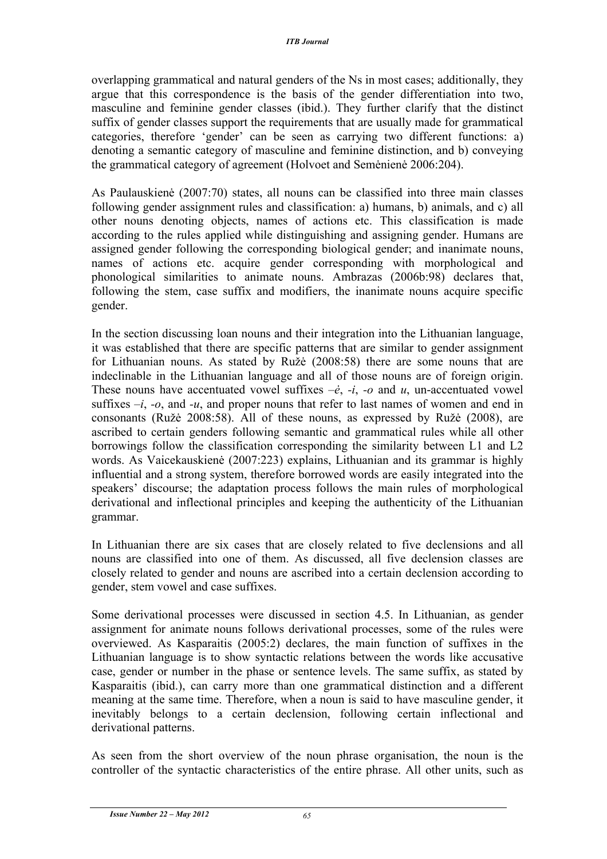overlapping grammatical and natural genders of the Ns in most cases; additionally, they argue that this correspondence is the basis of the gender differentiation into two, masculine and feminine gender classes (ibid.). They further clarify that the distinct suffix of gender classes support the requirements that are usually made for grammatical categories, therefore 'gender' can be seen as carrying two different functions: a) denoting a semantic category of masculine and feminine distinction, and b) conveying the grammatical category of agreement (Holvoet and Semėnienė 2006:204).

As Paulauskienė (2007:70) states, all nouns can be classified into three main classes following gender assignment rules and classification: a) humans, b) animals, and c) all other nouns denoting objects, names of actions etc. This classification is made according to the rules applied while distinguishing and assigning gender. Humans are assigned gender following the corresponding biological gender; and inanimate nouns, names of actions etc. acquire gender corresponding with morphological and phonological similarities to animate nouns. Ambrazas (2006b:98) declares that, following the stem, case suffix and modifiers, the inanimate nouns acquire specific gender.

In the section discussing loan nouns and their integration into the Lithuanian language, it was established that there are specific patterns that are similar to gender assignment for Lithuanian nouns. As stated by Ružė (2008:58) there are some nouns that are indeclinable in the Lithuanian language and all of those nouns are of foreign origin. These nouns have accentuated vowel suffixes  $-\dot{e}$ ,  $-i$ ,  $-o$  and  $u$ , un-accentuated vowel suffixes  $-i$ ,  $-i$ , and  $-i$ , and proper nouns that refer to last names of women and end in consonants (Ružė 2008:58). All of these nouns, as expressed by Ružė (2008), are ascribed to certain genders following semantic and grammatical rules while all other borrowings follow the classification corresponding the similarity between L1 and L2 words. As Vaicekauskienė (2007:223) explains, Lithuanian and its grammar is highly influential and a strong system, therefore borrowed words are easily integrated into the speakers' discourse; the adaptation process follows the main rules of morphological derivational and inflectional principles and keeping the authenticity of the Lithuanian grammar.

In Lithuanian there are six cases that are closely related to five declensions and all nouns are classified into one of them. As discussed, all five declension classes are closely related to gender and nouns are ascribed into a certain declension according to gender, stem vowel and case suffixes.

Some derivational processes were discussed in section 4.5. In Lithuanian, as gender assignment for animate nouns follows derivational processes, some of the rules were overviewed. As Kasparaitis (2005:2) declares, the main function of suffixes in the Lithuanian language is to show syntactic relations between the words like accusative case, gender or number in the phase or sentence levels. The same suffix, as stated by Kasparaitis (ibid.), can carry more than one grammatical distinction and a different meaning at the same time. Therefore, when a noun is said to have masculine gender, it inevitably belongs to a certain declension, following certain inflectional and derivational patterns.

As seen from the short overview of the noun phrase organisation, the noun is the controller of the syntactic characteristics of the entire phrase. All other units, such as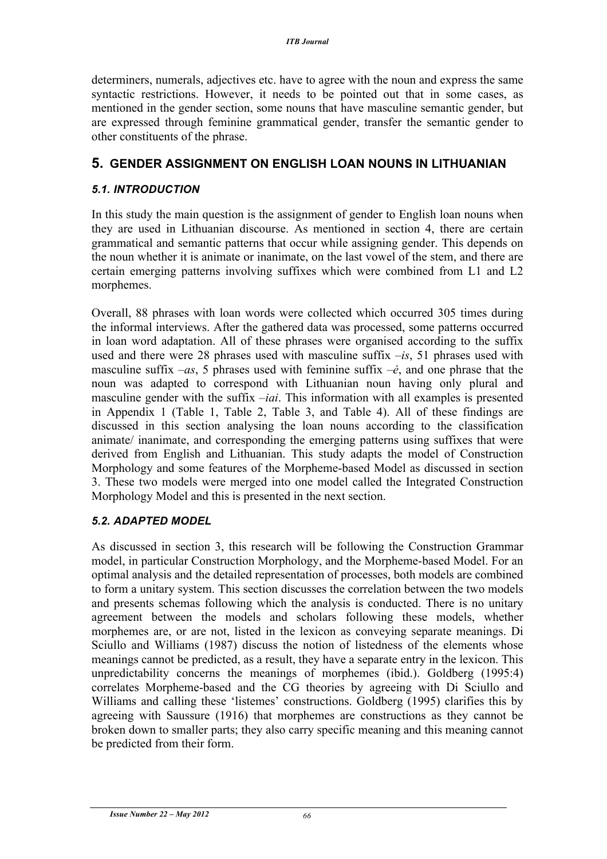determiners, numerals, adjectives etc. have to agree with the noun and express the same syntactic restrictions. However, it needs to be pointed out that in some cases, as mentioned in the gender section, some nouns that have masculine semantic gender, but are expressed through feminine grammatical gender, transfer the semantic gender to other constituents of the phrase.

### **5. GENDER ASSIGNMENT ON ENGLISH LOAN NOUNS IN LITHUANIAN**

### *5.1. INTRODUCTION*

In this study the main question is the assignment of gender to English loan nouns when they are used in Lithuanian discourse. As mentioned in section 4, there are certain grammatical and semantic patterns that occur while assigning gender. This depends on the noun whether it is animate or inanimate, on the last vowel of the stem, and there are certain emerging patterns involving suffixes which were combined from L1 and L2 morphemes.

Overall, 88 phrases with loan words were collected which occurred 305 times during the informal interviews. After the gathered data was processed, some patterns occurred in loan word adaptation. All of these phrases were organised according to the suffix used and there were 28 phrases used with masculine suffix *–is*, 51 phrases used with masculine suffix *–as*, 5 phrases used with feminine suffix *–ė*, and one phrase that the noun was adapted to correspond with Lithuanian noun having only plural and masculine gender with the suffix *–iai*. This information with all examples is presented in Appendix 1 (Table 1, Table 2, Table 3, and Table 4). All of these findings are discussed in this section analysing the loan nouns according to the classification animate/ inanimate, and corresponding the emerging patterns using suffixes that were derived from English and Lithuanian. This study adapts the model of Construction Morphology and some features of the Morpheme-based Model as discussed in section 3. These two models were merged into one model called the Integrated Construction Morphology Model and this is presented in the next section.

### *5.2. ADAPTED MODEL*

As discussed in section 3, this research will be following the Construction Grammar model, in particular Construction Morphology, and the Morpheme-based Model. For an optimal analysis and the detailed representation of processes, both models are combined to form a unitary system. This section discusses the correlation between the two models and presents schemas following which the analysis is conducted. There is no unitary agreement between the models and scholars following these models, whether morphemes are, or are not, listed in the lexicon as conveying separate meanings. Di Sciullo and Williams (1987) discuss the notion of listedness of the elements whose meanings cannot be predicted, as a result, they have a separate entry in the lexicon. This unpredictability concerns the meanings of morphemes (ibid.). Goldberg (1995:4) correlates Morpheme-based and the CG theories by agreeing with Di Sciullo and Williams and calling these 'listemes' constructions. Goldberg (1995) clarifies this by agreeing with Saussure (1916) that morphemes are constructions as they cannot be broken down to smaller parts; they also carry specific meaning and this meaning cannot be predicted from their form.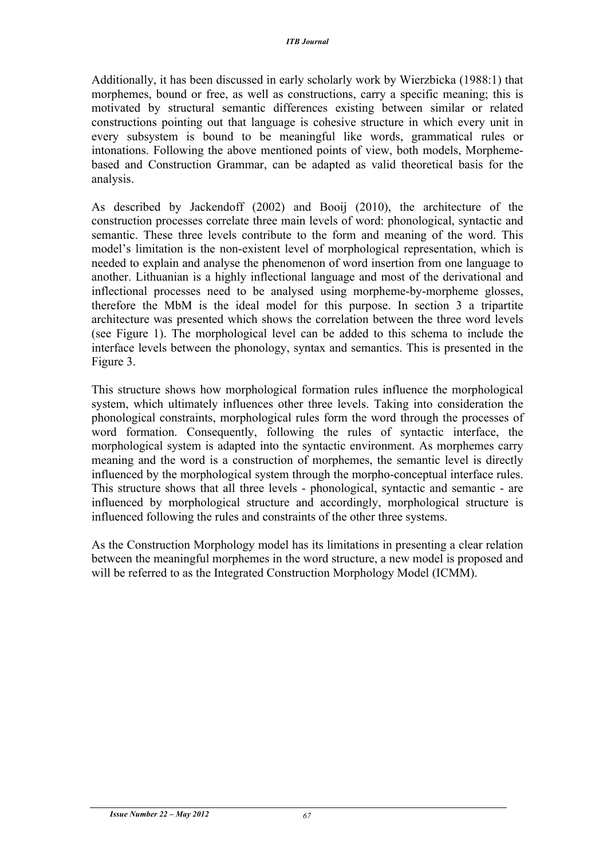Additionally, it has been discussed in early scholarly work by Wierzbicka (1988:1) that morphemes, bound or free, as well as constructions, carry a specific meaning; this is motivated by structural semantic differences existing between similar or related constructions pointing out that language is cohesive structure in which every unit in every subsystem is bound to be meaningful like words, grammatical rules or intonations. Following the above mentioned points of view, both models, Morphemebased and Construction Grammar, can be adapted as valid theoretical basis for the analysis.

As described by Jackendoff (2002) and Booij (2010), the architecture of the construction processes correlate three main levels of word: phonological, syntactic and semantic. These three levels contribute to the form and meaning of the word. This model's limitation is the non-existent level of morphological representation, which is needed to explain and analyse the phenomenon of word insertion from one language to another. Lithuanian is a highly inflectional language and most of the derivational and inflectional processes need to be analysed using morpheme-by-morpheme glosses, therefore the MbM is the ideal model for this purpose. In section 3 a tripartite architecture was presented which shows the correlation between the three word levels (see Figure 1). The morphological level can be added to this schema to include the interface levels between the phonology, syntax and semantics. This is presented in the Figure 3.

This structure shows how morphological formation rules influence the morphological system, which ultimately influences other three levels. Taking into consideration the phonological constraints, morphological rules form the word through the processes of word formation. Consequently, following the rules of syntactic interface, the morphological system is adapted into the syntactic environment. As morphemes carry meaning and the word is a construction of morphemes, the semantic level is directly influenced by the morphological system through the morpho-conceptual interface rules. This structure shows that all three levels - phonological, syntactic and semantic - are influenced by morphological structure and accordingly, morphological structure is influenced following the rules and constraints of the other three systems.

As the Construction Morphology model has its limitations in presenting a clear relation between the meaningful morphemes in the word structure, a new model is proposed and will be referred to as the Integrated Construction Morphology Model (ICMM).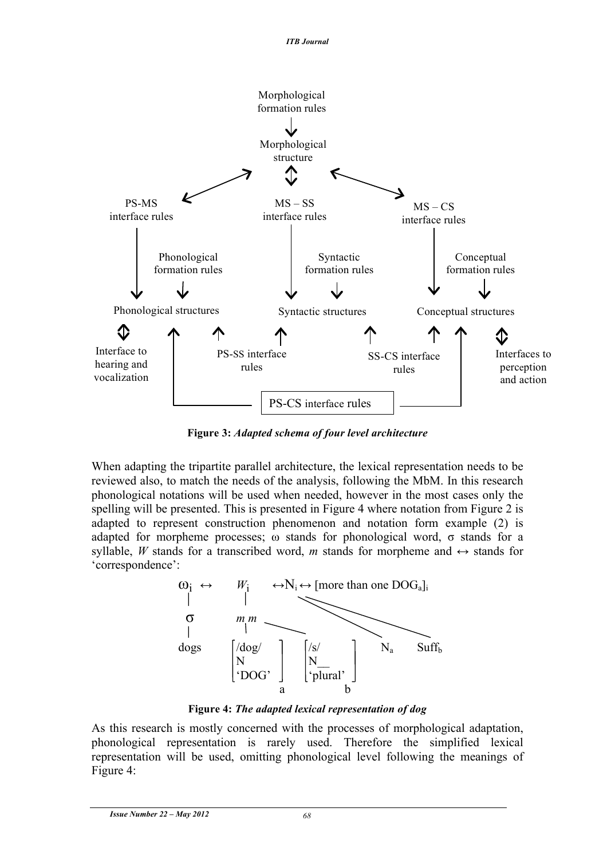

**Figure 3:** *Adapted schema of four level architecture*

When adapting the tripartite parallel architecture, the lexical representation needs to be reviewed also, to match the needs of the analysis, following the MbM. In this research phonological notations will be used when needed, however in the most cases only the spelling will be presented. This is presented in Figure 4 where notation from Figure 2 is adapted to represent construction phenomenon and notation form example (2) is adapted for morpheme processes;  $\omega$  stands for phonological word,  $\sigma$  stands for a syllable, *W* stands for a transcribed word, *m* stands for morpheme and  $\leftrightarrow$  stands for 'correspondence':



**Figure 4:** *The adapted lexical representation of dog*

As this research is mostly concerned with the processes of morphological adaptation, phonological representation is rarely used. Therefore the simplified lexical representation will be used, omitting phonological level following the meanings of Figure 4: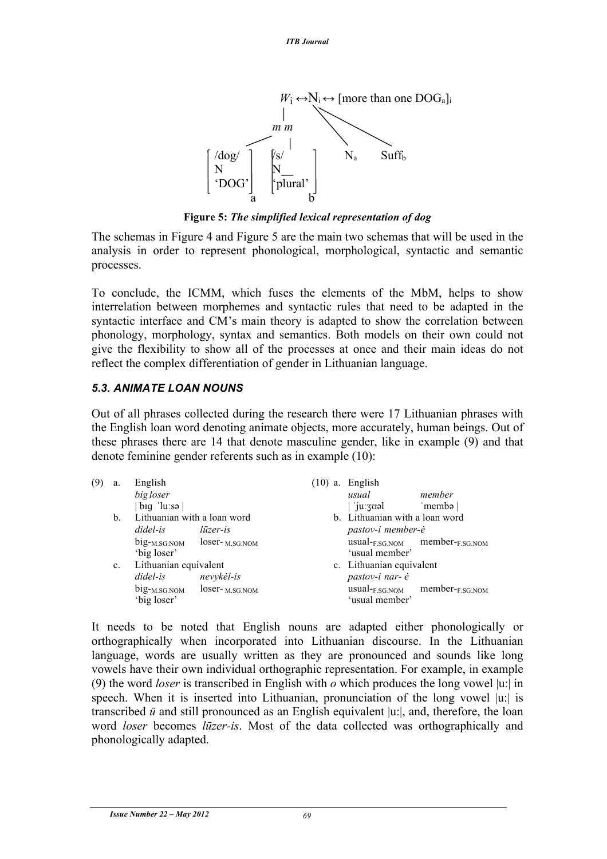

**Figure 5:** *The simplified lexical representation of dog*

The schemas in Figure 4 and Figure 5 are the main two schemas that will be used in the analysis in order to represent phonological, morphological, syntactic and semantic processes.

To conclude, the ICMM, which fuses the elements of the MbM, helps to show interrelation between morphemes and syntactic rules that need to be adapted in the syntactic interface and CM's main theory is adapted to show the correlation between phonology, morphology, syntax and semantics. Both models on their own could not give the flexibility to show all of the processes at once and their main ideas do not reflect the complex differentiation of gender in Lithuanian language.

#### *5.3. ANIMATE LOAN NOUNS*

Out of all phrases collected during the research there were 17 Lithuanian phrases with the English loan word denoting animate objects, more accurately, human beings. Out of these phrases there are 14 that denote masculine gender, like in example (9) and that denote feminine gender referents such as in example (10):

| (9) | a.          | English<br>big loser<br>$big$ 'lu:sə $\vert$                                                  |            | $(10)$ a. English<br>usual<br>  'juːʒʊəl                              | member<br>'membə                                          |
|-----|-------------|-----------------------------------------------------------------------------------------------|------------|-----------------------------------------------------------------------|-----------------------------------------------------------|
|     | b.          | Lithuanian with a loan word<br>didel-is<br>$big_{-M.SG.NOM}$ loser- $M.SG.NOM$<br>'big loser' | lūzer-is   | b. Lithuanian with a loan word<br>pastov-i member-ė<br>'usual member' | $usual$ <sub>F.SG.NOM</sub> member- $F$ <sub>SG.NOM</sub> |
|     | $c_{\cdot}$ | Lithuanian equivalent<br>didel-is<br>$big_{-M.SG.NOM}$ loser- $M.SG.NOM$<br>'big loser'       | nevykėl-is | c. Lithuanian equivalent<br>pastov-i nar- ė<br>'usual member'         | $usual$ <sub>F.SG.NOM</sub> member- $F$ <sub>SG.NOM</sub> |

It needs to be noted that English nouns are adapted either phonologically or orthographically when incorporated into Lithuanian discourse. In the Lithuanian language, words are usually written as they are pronounced and sounds like long vowels have their own individual orthographic representation. For example, in example (9) the word *loser* is transcribed in English with *o* which produces the long vowel |u:| in speech. When it is inserted into Lithuanian, pronunciation of the long vowel  $|u|$  is transcribed  $\bar{u}$  and still pronounced as an English equivalent  $|u|$ , and, therefore, the loan word *loser* becomes *lūzer-is*. Most of the data collected was orthographically and phonologically adapted.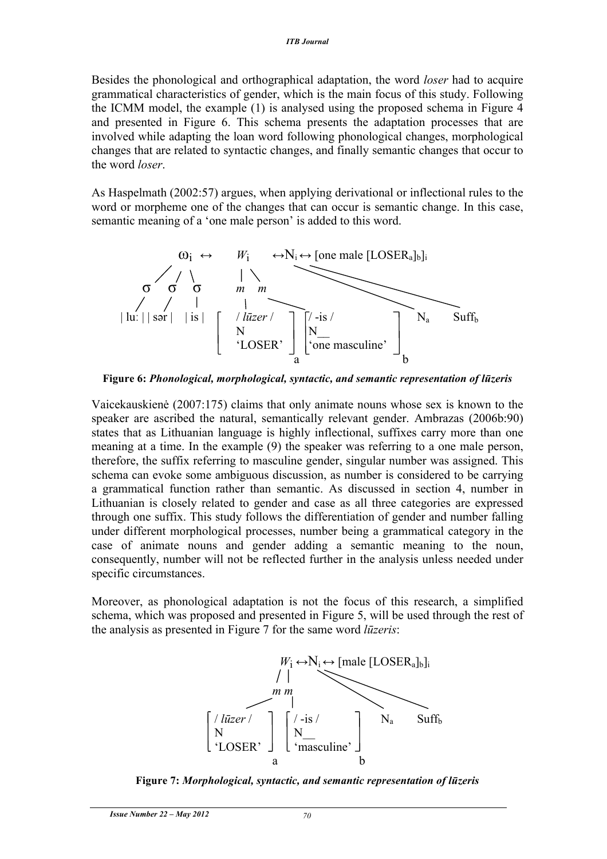Besides the phonological and orthographical adaptation, the word *loser* had to acquire grammatical characteristics of gender, which is the main focus of this study. Following the ICMM model, the example (1) is analysed using the proposed schema in Figure 4 and presented in Figure 6. This schema presents the adaptation processes that are involved while adapting the loan word following phonological changes, morphological changes that are related to syntactic changes, and finally semantic changes that occur to the word *loser*.

As Haspelmath (2002:57) argues, when applying derivational or inflectional rules to the word or morpheme one of the changes that can occur is semantic change. In this case, semantic meaning of a 'one male person' is added to this word.



**Figure 6:** *Phonological, morphological, syntactic, and semantic representation of lūzeris*

Vaicekauskienė (2007:175) claims that only animate nouns whose sex is known to the speaker are ascribed the natural, semantically relevant gender. Ambrazas (2006b:90) states that as Lithuanian language is highly inflectional, suffixes carry more than one meaning at a time. In the example (9) the speaker was referring to a one male person, therefore, the suffix referring to masculine gender, singular number was assigned. This schema can evoke some ambiguous discussion, as number is considered to be carrying a grammatical function rather than semantic. As discussed in section 4, number in Lithuanian is closely related to gender and case as all three categories are expressed through one suffix. This study follows the differentiation of gender and number falling under different morphological processes, number being a grammatical category in the case of animate nouns and gender adding a semantic meaning to the noun, consequently, number will not be reflected further in the analysis unless needed under specific circumstances.

Moreover, as phonological adaptation is not the focus of this research, a simplified schema, which was proposed and presented in Figure 5, will be used through the rest of the analysis as presented in Figure 7 for the same word *lūzeris*:



**Figure 7:** *Morphological, syntactic, and semantic representation of lūzeris*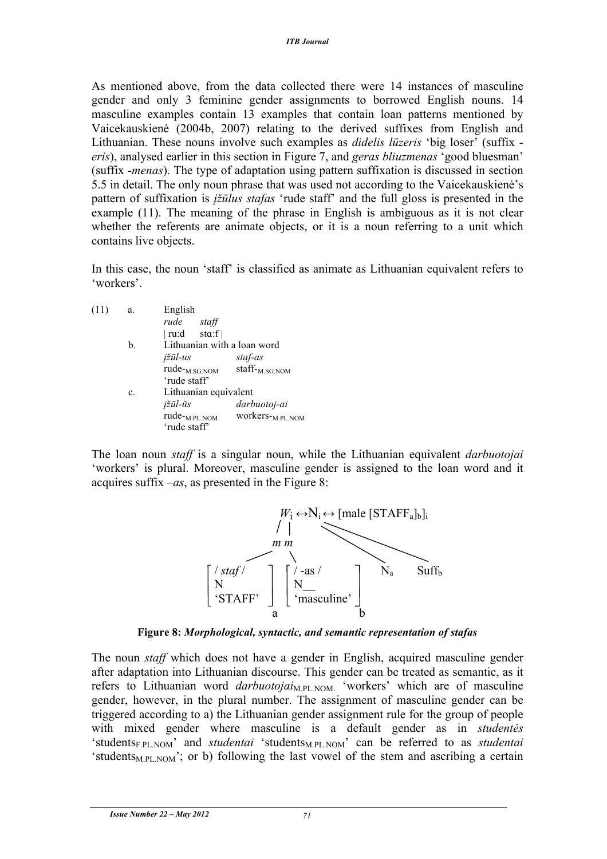As mentioned above, from the data collected there were 14 instances of masculine gender and only 3 feminine gender assignments to borrowed English nouns. 14 masculine examples contain 13 examples that contain loan patterns mentioned by Vaicekauskienė (2004b, 2007) relating to the derived suffixes from English and Lithuanian. These nouns involve such examples as *didelis lūzeris* 'big loser' (suffix  *eris*), analysed earlier in this section in Figure 7, and *geras bliuzmenas* 'good bluesman' (suffix *-menas*). The type of adaptation using pattern suffixation is discussed in section 5.5 in detail. The only noun phrase that was used not according to the Vaicekauskienė's pattern of suffixation is *įžūlus stafas* 'rude staff' and the full gloss is presented in the example (11). The meaning of the phrase in English is ambiguous as it is not clear whether the referents are animate objects, or it is a noun referring to a unit which contains live objects.

In this case, the noun 'staff' is classified as animate as Lithuanian equivalent refers to 'workers'.

| (11) | a.             | English                                   |                              |
|------|----------------|-------------------------------------------|------------------------------|
|      |                | rude<br>staff                             |                              |
|      |                | $ ru:d$ sta:f $ $                         |                              |
|      | b.             | Lithuanian with a loan word               |                              |
|      |                | <i>ižūl-us</i>                            | staf-as                      |
|      |                | rude- <sub>M.SG.NOM</sub><br>'rude staff' | staff- <sub>M.SG.NOM</sub>   |
|      | $\mathbf{c}$ . | Lithuanian equivalent                     |                              |
|      |                | įžūl-ūs                                   | darbuotoj-ai                 |
|      |                | rude- <sub>M.PL.NOM</sub>                 | WOrkers- <sub>M.PL.NOM</sub> |
|      |                | 'rude staff'                              |                              |

The loan noun *staff* is a singular noun, while the Lithuanian equivalent *darbuotojai*  'workers' is plural. Moreover, masculine gender is assigned to the loan word and it acquires suffix *–as*, as presented in the Figure 8:



**Figure 8:** *Morphological, syntactic, and semantic representation of stafas*

The noun *staff* which does not have a gender in English, acquired masculine gender after adaptation into Lithuanian discourse. This gender can be treated as semantic, as it refers to Lithuanian word *darbuotojai*<sub>M.PL.NOM.</sub> 'workers' which are of masculine gender, however, in the plural number. The assignment of masculine gender can be triggered according to a) the Lithuanian gender assignment rule for the group of people with mixed gender where masculine is a default gender as in *studentės* 'studentsF.PL.NOM' and *studentai* 'studentsM.PL.NOM' can be referred to as *studentai* 'students<sub>M.PL.NOM</sub>'; or b) following the last vowel of the stem and ascribing a certain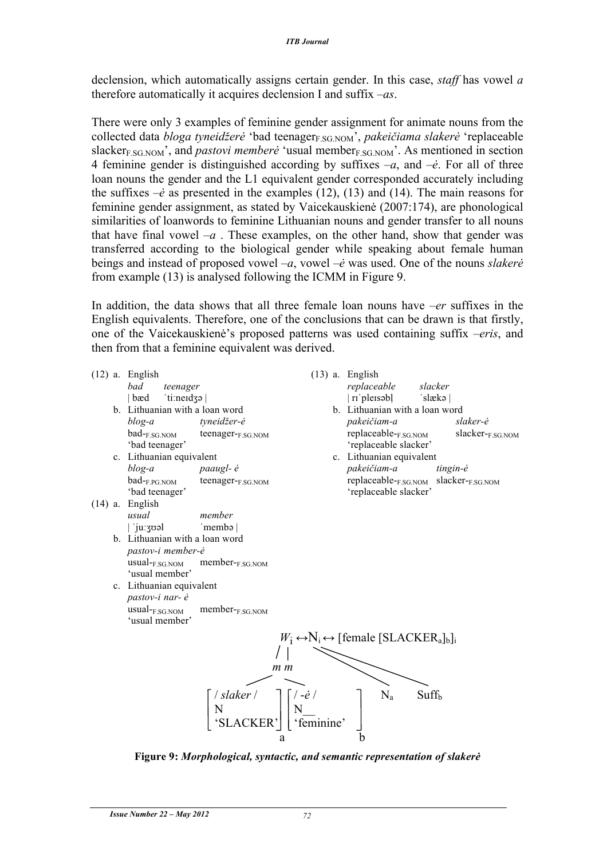declension, which automatically assigns certain gender. In this case, *staff* has vowel *a* therefore automatically it acquires declension I and suffix *–as*.

There were only 3 examples of feminine gender assignment for animate nouns from the collected data *bloga tyneidžerė* 'bad teenager<sub>F.SG.NOM</sub>', *pakeičiama slakerė* 'replaceable slacker<sub>E.SG.NOM</sub>', and *pastovi memberė* 'usual member<sub>E.SG.NOM</sub>'. As mentioned in section 4 feminine gender is distinguished according by suffixes *–a*, and *–ė*. For all of three loan nouns the gender and the L1 equivalent gender corresponded accurately including the suffixes  $-\dot{e}$  as presented in the examples (12), (13) and (14). The main reasons for feminine gender assignment, as stated by Vaicekauskienė (2007:174), are phonological similarities of loanwords to feminine Lithuanian nouns and gender transfer to all nouns that have final vowel  $-a$ . These examples, on the other hand, show that gender was transferred according to the biological gender while speaking about female human beings and instead of proposed vowel *–a*, vowel –*ė* was used. One of the nouns *slakerė* from example (13) is analysed following the ICMM in Figure 9.

In addition, the data shows that all three female loan nouns have –*er* suffixes in the English equivalents. Therefore, one of the conclusions that can be drawn is that firstly, one of the Vaicekauskienė's proposed patterns was used containing suffix *–eris*, and then from that a feminine equivalent was derived.

|  | $(12)$ a. English                             |                       |                | $(13)$ a. English                                                                                     |                  |
|--|-----------------------------------------------|-----------------------|----------------|-------------------------------------------------------------------------------------------------------|------------------|
|  | bad<br>teenager                               |                       |                | replaceable                                                                                           | slacker          |
|  | 'ti:neɪdʒə  <br>  bæd                         |                       |                | rī 'pleīsəbļ                                                                                          | 'slækə           |
|  | b. Lithuanian with a loan word                |                       |                | b. Lithuanian with a loan word                                                                        |                  |
|  | blog-a                                        | tyneidžer-ė           |                | pakeičiam-a                                                                                           | slaker-ė         |
|  | $bad$ <sub>E.SG.NOM</sub><br>'bad teenager'   | teenager-F.SG.NOM     |                | replaceable-F.SG.NOM<br>'replaceable slacker'                                                         | slacker-F.SG.NOM |
|  | c. Lithuanian equivalent                      |                       |                | c. Lithuanian equivalent                                                                              |                  |
|  | blog-a                                        | paaugl- ė             |                | pakeičiam-a                                                                                           | tingin-ė         |
|  | $bad$ <sub>-F.PG.NOM</sub><br>'bad teenager'  | teenager-F.SG.NOM     |                | replaceable-F.SG.NOM slacker-F.SG.NOM<br>'replaceable slacker'                                        |                  |
|  | $(14)$ a. English                             |                       |                |                                                                                                       |                  |
|  | usual                                         | member                |                |                                                                                                       |                  |
|  | 'juːʒʊəl                                      | $'$ membə $ $         |                |                                                                                                       |                  |
|  | b. Lithuanian with a loan word                |                       |                |                                                                                                       |                  |
|  | pastov-i member-ė                             |                       |                |                                                                                                       |                  |
|  | $usual$ - $F.SG.NOM$                          | member- $F_{SGMOM}$   |                |                                                                                                       |                  |
|  | 'usual member'                                |                       |                |                                                                                                       |                  |
|  | c. Lithuanian equivalent                      |                       |                |                                                                                                       |                  |
|  | pastov-i nar- ė                               |                       |                |                                                                                                       |                  |
|  | $usual$ <sub>F.SG.NOM</sub><br>'usual member' | $member$ - $F.SG.NOM$ |                |                                                                                                       |                  |
|  |                                               |                       |                | $W_i \leftrightarrow N_i \leftrightarrow$ [female [SLACKER <sub>a</sub> ] <sub>b</sub> ] <sub>i</sub> |                  |
|  |                                               |                       |                |                                                                                                       |                  |
|  |                                               |                       |                |                                                                                                       |                  |
|  |                                               |                       | m <sub>m</sub> |                                                                                                       |                  |
|  |                                               |                       |                |                                                                                                       |                  |
|  |                                               | / slaker /            |                | $N_a$<br>$Suff_b$                                                                                     |                  |
|  |                                               |                       |                |                                                                                                       |                  |
|  |                                               | 'SLACKER'             | 'feminine'     |                                                                                                       |                  |
|  |                                               |                       | a              | b                                                                                                     |                  |

**Figure 9:** *Morphological, syntactic, and semantic representation of slakerė*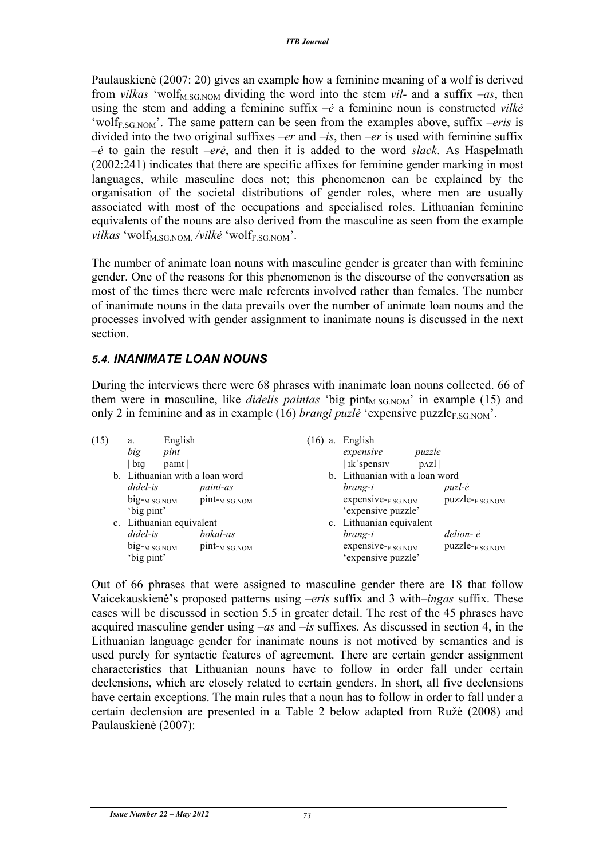Paulauskienė (2007: 20) gives an example how a feminine meaning of a wolf is derived from *vilkas* 'wolf<sub>M.SG.NOM</sub> dividing the word into the stem *vil*- and a suffix  $-as$ , then using the stem and adding a feminine suffix –*ė* a feminine noun is constructed *vilkė* 'wolf<sub>F</sub>  $SGNOM$ '. The same pattern can be seen from the examples above, suffix *–eris* is divided into the two original suffixes *–er* and *–is*, then *–er* is used with feminine suffix –*ė* to gain the result *–erė*, and then it is added to the word *slack*. As Haspelmath (2002:241) indicates that there are specific affixes for feminine gender marking in most languages, while masculine does not; this phenomenon can be explained by the organisation of the societal distributions of gender roles, where men are usually associated with most of the occupations and specialised roles. Lithuanian feminine equivalents of the nouns are also derived from the masculine as seen from the example *vilkas* 'wolf<sub>M</sub> SG NOM /vilkė 'wolf<sub>F.SG.NOM</sub>'.

The number of animate loan nouns with masculine gender is greater than with feminine gender. One of the reasons for this phenomenon is the discourse of the conversation as most of the times there were male referents involved rather than females. The number of inanimate nouns in the data prevails over the number of animate loan nouns and the processes involved with gender assignment to inanimate nouns is discussed in the next section.

### *5.4. INANIMATE LOAN NOUNS*

During the interviews there were 68 phrases with inanimate loan nouns collected. 66 of them were in masculine, like *didelis paintas* 'big  $\text{pint}_{MSG,NOM}$ ' in example (15) and only 2 in feminine and as in example (16) *brangi puzle* 'expensive puzzle $_{\text{F.SG-NOM}}$ '.

| (15) | a.                                      | English                  |                                | $(16)$ a. English                                     |                             |
|------|-----------------------------------------|--------------------------|--------------------------------|-------------------------------------------------------|-----------------------------|
|      | big                                     | pint                     |                                | expensive                                             | puzzle                      |
|      | big                                     | paint                    |                                | ik spensiv                                            | $ p\angle z $               |
|      | b. Lithuanian with a loan word          |                          | b. Lithuanian with a loan word |                                                       |                             |
|      | didel-is                                |                          | <i>paint-as</i>                | brang-i                                               | puzl-ė                      |
|      | $big_{\text{-}M.SG. NOM}$<br>'big pint' |                          | $pint$ - $M.SG.NOM$            | $expensive$ <sub>F.SG.NOM</sub><br>'expensive puzzle' | puzzle- <sub>F.SG.NOM</sub> |
|      |                                         | c. Lithuanian equivalent |                                | c. Lithuanian equivalent                              |                             |
|      | didel-is                                |                          | bokal-as                       | brang-i                                               | delion- è                   |
|      | $big_{-M.SG.NOM}$<br>'big pint'         |                          | $pint$ - $M.SG.NOM$            | expensive-F.SG.NOM<br>'expensive puzzle'              | puzzle- <sub>F.SG.NOM</sub> |

Out of 66 phrases that were assigned to masculine gender there are 18 that follow Vaicekauskienė's proposed patterns using *–eris* suffix and 3 with*–ingas* suffix. These cases will be discussed in section 5.5 in greater detail. The rest of the 45 phrases have acquired masculine gender using *–as* and *–is* suffixes. As discussed in section 4, in the Lithuanian language gender for inanimate nouns is not motived by semantics and is used purely for syntactic features of agreement. There are certain gender assignment characteristics that Lithuanian nouns have to follow in order fall under certain declensions, which are closely related to certain genders. In short, all five declensions have certain exceptions. The main rules that a noun has to follow in order to fall under a certain declension are presented in a Table 2 below adapted from Ružė (2008) and Paulauskienė (2007):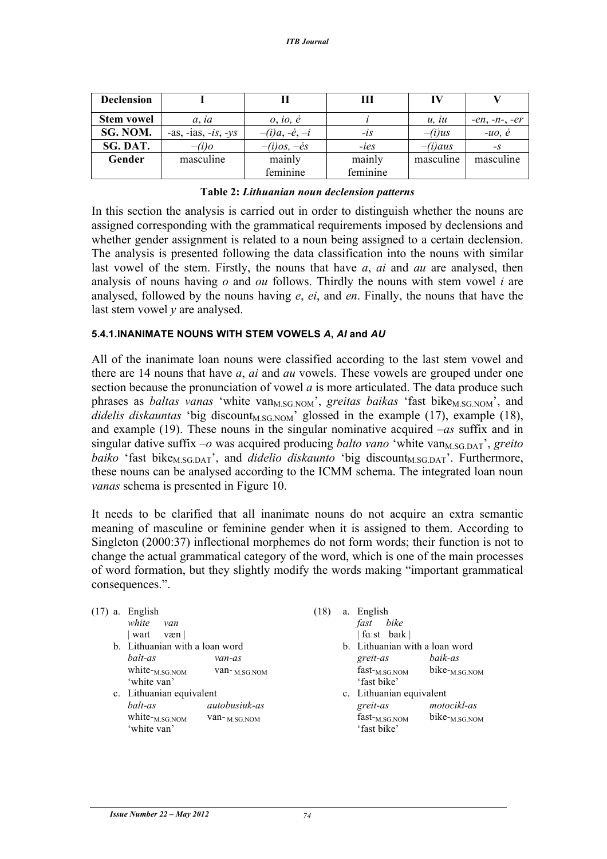| <b>Declension</b> |                     |                       |          |           |                |
|-------------------|---------------------|-----------------------|----------|-----------|----------------|
| <b>Stem vowel</b> | $a$ , ia            | $o$ , io, $\dot{e}$   |          | u, iu     | $-en, -n, -er$ |
| SG. NOM.          | -as, -ias, -is, -ys | $-(i)a, -e, -i$       | $-iS$    | $-i)$ us  | $-uo, \dot{e}$ |
| SG. DAT.          | $-iio$              | $-i)$ os, $-\dot{e}s$ | $-ies$   | $-i)$ aus | $-S$           |
| Gender            | masculine           | mainly                | mainly   | masculine | masculine      |
|                   |                     | feminine              | feminine |           |                |

#### **Table 2:** *Lithuanian noun declension patterns*

In this section the analysis is carried out in order to distinguish whether the nouns are assigned corresponding with the grammatical requirements imposed by declensions and whether gender assignment is related to a noun being assigned to a certain declension. The analysis is presented following the data classification into the nouns with similar last vowel of the stem. Firstly, the nouns that have *a*, *ai* and *au* are analysed, then analysis of nouns having *o* and *ou* follows. Thirdly the nouns with stem vowel *i* are analysed, followed by the nouns having *e*, *ei*, and *en*. Finally, the nouns that have the last stem vowel *y* are analysed.

#### **5.4.1.INANIMATE NOUNS WITH STEM VOWELS** *A***,** *AI* **and** *AU*

All of the inanimate loan nouns were classified according to the last stem vowel and there are 14 nouns that have *a*, *ai* and *au* vowels. These vowels are grouped under one section because the pronunciation of vowel *a* is more articulated. The data produce such phrases as *baltas vanas* 'white van<sub>M.SG.NOM</sub>', *greitas baikas* 'fast bike<sub>M.SG.NOM</sub>', and *didelis diskauntas* 'big discount<sub>M.SG.NOM</sub>' glossed in the example  $(17)$ , example  $(18)$ , and example (19). These nouns in the singular nominative acquired *–as* suffix and in singular dative suffix  $-\sigma$  was acquired producing *balto vano* 'white van<sub>M.SG.DAT</sub>', *greito baiko* 'fast bike<sub>M.SG.DAT</sub>', and *didelio diskaunto* 'big discount<sub>M.SG.DAT</sub>'. Furthermore, these nouns can be analysed according to the ICMM schema. The integrated loan noun *vanas* schema is presented in Figure 10.

It needs to be clarified that all inanimate nouns do not acquire an extra semantic meaning of masculine or feminine gender when it is assigned to them. According to Singleton (2000:37) inflectional morphemes do not form words; their function is not to change the actual grammatical category of the word, which is one of the main processes of word formation, but they slightly modify the words making "important grammatical consequences.".

| $(17)$ a. | English<br>white<br>van<br>wait<br>væn                                           |                                        | (18) | a. English<br>bike<br>fast<br>fa:st baik                                     |                                   |
|-----------|----------------------------------------------------------------------------------|----------------------------------------|------|------------------------------------------------------------------------------|-----------------------------------|
|           | b. Lithuanian with a loan word<br>balt-as<br>white- $_{M.SG,NOM}$<br>'white van' | van-as<br>van- $_{M.SG.NOM}$           |      | b. Lithuanian with a loan word<br>greit-as<br>$fast-M.SG.NOM$<br>'fast bike' | baik-as<br>bike $-M.SG.NOM$       |
|           | c. Lithuanian equivalent<br>balt-as<br>white- $M.SG.NOM$<br>'white van'          | <i>autobusiuk-as</i><br>$van-M.SG.NOM$ |      | c. Lithuanian equivalent<br>greit-as<br>$fast-M.SG.NOM$<br>'fast bike'       | motocikl-as<br>$bike_{M.SG. NOM}$ |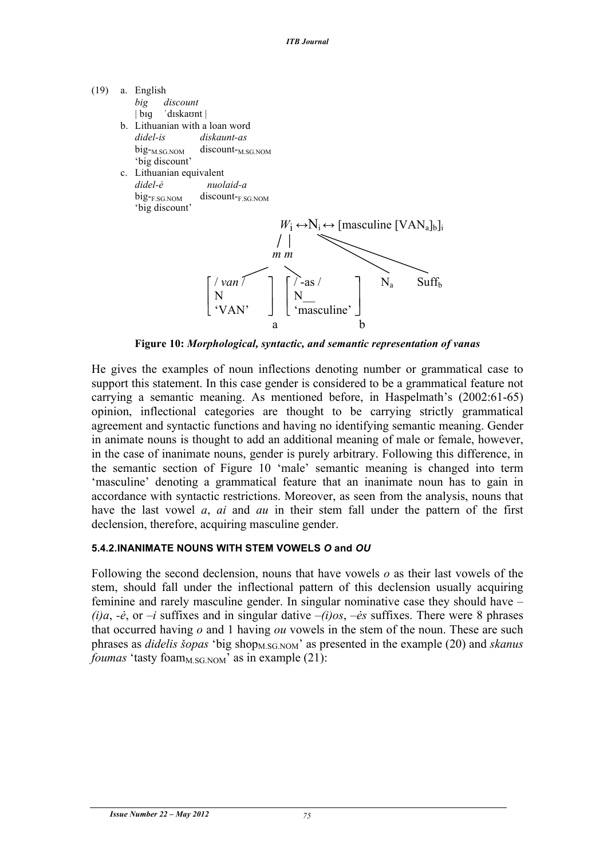

**Figure 10:** *Morphological, syntactic, and semantic representation of vanas*

He gives the examples of noun inflections denoting number or grammatical case to support this statement. In this case gender is considered to be a grammatical feature not carrying a semantic meaning. As mentioned before, in Haspelmath's (2002:61-65) opinion, inflectional categories are thought to be carrying strictly grammatical agreement and syntactic functions and having no identifying semantic meaning. Gender in animate nouns is thought to add an additional meaning of male or female, however, in the case of inanimate nouns, gender is purely arbitrary. Following this difference, in the semantic section of Figure 10 'male' semantic meaning is changed into term 'masculine' denoting a grammatical feature that an inanimate noun has to gain in accordance with syntactic restrictions. Moreover, as seen from the analysis, nouns that have the last vowel *a*, *ai* and *au* in their stem fall under the pattern of the first declension, therefore, acquiring masculine gender.

#### **5.4.2.INANIMATE NOUNS WITH STEM VOWELS** *O* **and** *OU*

Following the second declension, nouns that have vowels *o* as their last vowels of the stem, should fall under the inflectional pattern of this declension usually acquiring feminine and rarely masculine gender. In singular nominative case they should have *– (i)a, -ė, or –i suffixes and in singular dative –<i>(i)os, –ės suffixes*. There were 8 phrases that occurred having *o* and 1 having *ou* vowels in the stem of the noun. These are such phrases as *didelis šopas* 'big shop<sub>M.SG.NOM</sub>' as presented in the example (20) and *skanus foumas* 'tasty foam<sub>M.SG.NOM</sub>' as in example  $(21)$ :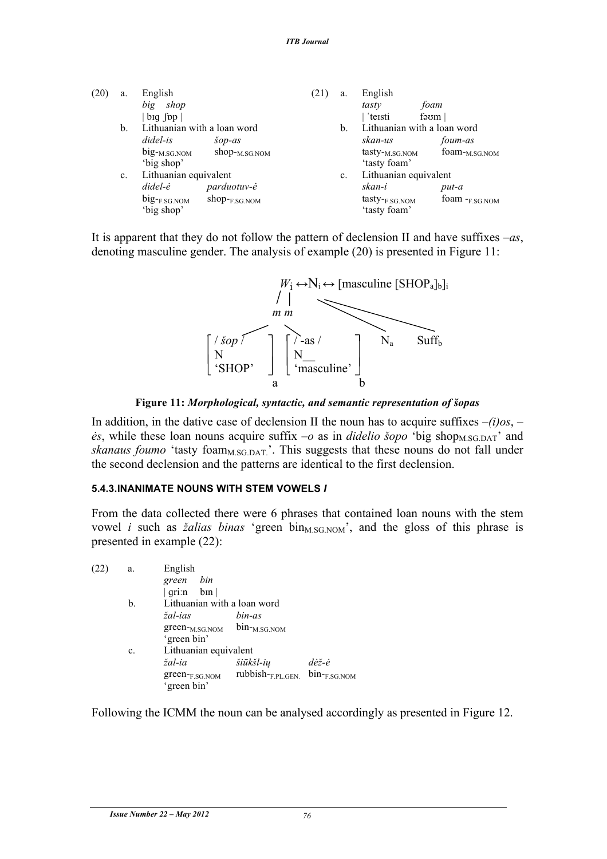| (20) | a. | English                                 |                           | (21) | a.            | English                                    |                     |
|------|----|-----------------------------------------|---------------------------|------|---------------|--------------------------------------------|---------------------|
|      |    | shop<br>big                             |                           |      |               | tasty                                      | foam                |
|      |    | $big$ fop $\vert$                       |                           |      |               | teisti                                     | fəom                |
|      | b. | Lithuanian with a loan word             |                           |      | $\mathbf b$ . | Lithuanian with a loan word                |                     |
|      |    | didel-is                                | $\check{s}$ op-as         |      |               | skan-us                                    | foum-as             |
|      |    | big- <sub>M.SG.NOM</sub><br>'big shop'  | $shop_{M.SG. NOM}$        |      |               | tasty- <sub>M.SG.NOM</sub><br>'tasty foam' | foam- $_{M.SG,NOM}$ |
|      | c. | Lithuanian equivalent                   |                           |      | $c_{\cdot}$   | Lithuanian equivalent                      |                     |
|      |    | didel-ė                                 | parduotuv-ė               |      |               | skan-i                                     | put-a               |
|      |    | $big_{\text{-F.SG. NOM}}$<br>'big shop' | $shop_{\text{F.SG. NOM}}$ |      |               | tasty- <sub>F.SG.NOM</sub><br>'tasty foam' | foam $-F.SG.NOM$    |
|      |    |                                         |                           |      |               |                                            |                     |

It is apparent that they do not follow the pattern of declension II and have suffixes *–as*, denoting masculine gender. The analysis of example (20) is presented in Figure 11:



**Figure 11:** *Morphological, syntactic, and semantic representation of šopas*

In addition, in the dative case of declension II the noun has to acquire suffixes –*(i)os*, *– ės*, while these loan nouns acquire suffix −*o* as in *didelio šopo* 'big shop<sub>M.SG.DAT</sub>' and *skanaus foumo* 'tasty foam<sub>M.SG.DAT.</sub>'. This suggests that these nouns do not fall under the second declension and the patterns are identical to the first declension.

#### **5.4.3.INANIMATE NOUNS WITH STEM VOWELS** *I*

From the data collected there were 6 phrases that contained loan nouns with the stem vowel *i* such as *žalias binas* 'green bin<sub>M.SG.NOM</sub>', and the gloss of this phrase is presented in example (22):

| $rubbish$ - $F.PL.GEN$ $bin$ - $F.SG.NOM$ |
|-------------------------------------------|
|                                           |

Following the ICMM the noun can be analysed accordingly as presented in Figure 12.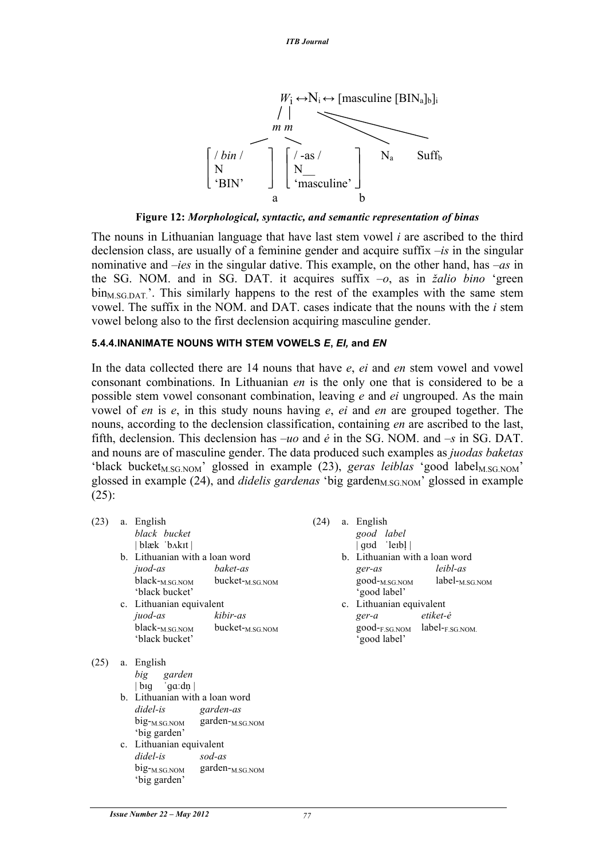

**Figure 12:** *Morphological, syntactic, and semantic representation of binas*

The nouns in Lithuanian language that have last stem vowel *i* are ascribed to the third declension class, are usually of a feminine gender and acquire suffix *–is* in the singular nominative and *–ies* in the singular dative. This example, on the other hand, has *–as* in the SG. NOM. and in SG. DAT. it acquires suffix *–o*, as in *žalio bino* 'green  $\overline{\text{bin}_{MSG,DAT}}$ . This similarly happens to the rest of the examples with the same stem vowel. The suffix in the NOM. and DAT. cases indicate that the nouns with the *i* stem vowel belong also to the first declension acquiring masculine gender.

#### **5.4.4.INANIMATE NOUNS WITH STEM VOWELS** *E***,** *EI,* **and** *EN*

In the data collected there are 14 nouns that have *e*, *ei* and *en* stem vowel and vowel consonant combinations. In Lithuanian *en* is the only one that is considered to be a possible stem vowel consonant combination, leaving *e* and *ei* ungrouped. As the main vowel of *en* is *e*, in this study nouns having *e*, *ei* and *en* are grouped together. The nouns, according to the declension classification, containing *en* are ascribed to the last, fifth, declension. This declension has *–uo* and *ė* in the SG. NOM. and *–s* in SG. DAT. and nouns are of masculine gender. The data produced such examples as *juodas baketas*  'black bucket<sub>M.SG.NOM</sub>' glossed in example (23), *geras leiblas* 'good label<sub>M.SG.NOM</sub>' glossed in example (24), and *didelis gardenas* 'big garden<sub>M.SG.NOM</sub>' glossed in example (25):

| (23) | a. English<br>black bucket<br>  blæk 'b^kit                                  |                                                            | (24) | a. English<br>good label<br>$\left  \text{q} \cdot \text{q} \right $                  |                               |
|------|------------------------------------------------------------------------------|------------------------------------------------------------|------|---------------------------------------------------------------------------------------|-------------------------------|
|      | b. Lithuanian with a loan word<br>juod-as<br>'black bucket'                  | baket-as<br>$black_{M,SG, NOM}$ bucket- $_{M,SG, NOM}$     |      | b. Lithuanian with a loan word<br>ger-as<br>good- <sub>M.SG.NOM</sub><br>'good label' | leibl-as<br>$label_{M.SGNOM}$ |
|      | c. Lithuanian equivalent<br>juod-as<br>$black_{M.SG. NOM}$<br>'black bucket' | kibir-as<br>bucket- <sub>M.SG.NOM</sub>                    |      | c. Lithuanian equivalent<br>$ger-a$<br>good-F.SG.NOM label-F.SG.NOM.<br>'good label'  | etiket-ė                      |
| (25) | a. English<br>big<br>garden<br>big $\sqrt{qa}$ : dn                          |                                                            |      |                                                                                       |                               |
|      | b. Lithuanian with a loan word<br>didel-is garden-as<br>'big garden'         | $big_{-M.SG.NOM}$ garden- $M.SG.NOM$                       |      |                                                                                       |                               |
|      | c. Lithuanian equivalent<br>didel-is<br>'big garden'                         | sod-as<br>$big_{\text{-M.SG. NOM}}$ garden- $_{M.SG. NOM}$ |      |                                                                                       |                               |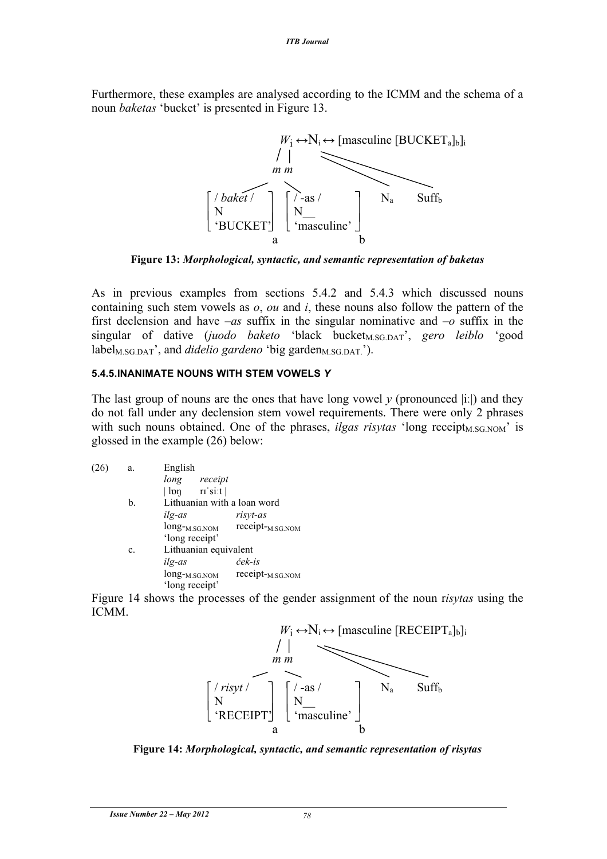Furthermore, these examples are analysed according to the ICMM and the schema of a noun *baketas* 'bucket' is presented in Figure 13.



**Figure 13:** *Morphological, syntactic, and semantic representation of baketas*

As in previous examples from sections 5.4.2 and 5.4.3 which discussed nouns containing such stem vowels as *o*, *ou* and *i*, these nouns also follow the pattern of the first declension and have *–as* suffix in the singular nominative and *–o* suffix in the singular of dative (*juodo baketo* 'black bucket<sub>M.SG.DAT</sub>', *gero leiblo* 'good  $label<sub>MSGDAT</sub>'$ , and *didelio gardeno `big garden<sub>M.SG.DAT.*').</sub>

#### **5.4.5.INANIMATE NOUNS WITH STEM VOWELS** *Y*

The last group of nouns are the ones that have long vowel  $\gamma$  (pronounced  $|i\rangle$ ) and they do not fall under any declension stem vowel requirements. There were only 2 phrases with such nouns obtained. One of the phrases, *ilgas risytas* 'long receipt<sub>M.SG.NOM</sub>' is glossed in the example (26) below:

| (26) | a.             | English                            |                              |
|------|----------------|------------------------------------|------------------------------|
|      |                | long<br>receipt                    |                              |
|      |                | $  \ln \theta  $ $  \sin \theta  $ |                              |
|      | $\mathbf{b}$ . | Lithuanian with a loan word        |                              |
|      |                | ilg-as                             | risyt-as                     |
|      |                | long- <sub>M.SG.NOM</sub>          | receipt- <sub>M.SG.NOM</sub> |
|      |                | 'long receipt'                     |                              |
|      | $\mathbf{c}$ . | Lithuanian equivalent              |                              |
|      |                | ilg-as                             | ček-is                       |
|      |                | long- <sub>M.SG.NOM</sub>          | receipt- <sub>M.SG.NOM</sub> |
|      |                | 'long receipt'                     |                              |

Figure 14 shows the processes of the gender assignment of the noun r*isytas* using the ICMM.



**Figure 14:** *Morphological, syntactic, and semantic representation of risytas*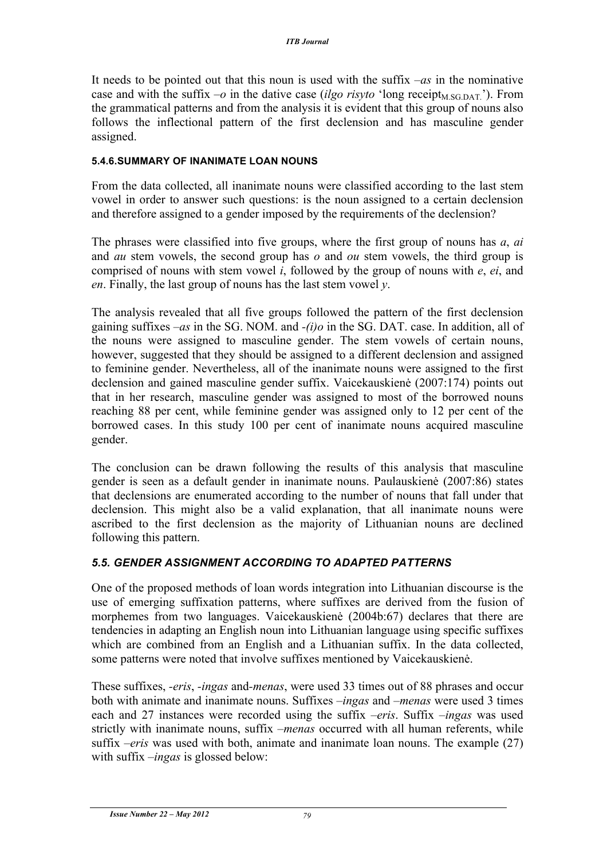It needs to be pointed out that this noun is used with the suffix *–as* in the nominative case and with the suffix  $-o$  in the dative case *(ilgo risyto* 'long receipt<sub>M.SG.DAT.'). From</sub> the grammatical patterns and from the analysis it is evident that this group of nouns also follows the inflectional pattern of the first declension and has masculine gender assigned.

#### **5.4.6.SUMMARY OF INANIMATE LOAN NOUNS**

From the data collected, all inanimate nouns were classified according to the last stem vowel in order to answer such questions: is the noun assigned to a certain declension and therefore assigned to a gender imposed by the requirements of the declension?

The phrases were classified into five groups, where the first group of nouns has *a*, *ai* and *au* stem vowels, the second group has *o* and *ou* stem vowels, the third group is comprised of nouns with stem vowel *i*, followed by the group of nouns with *e*, *ei*, and *en*. Finally, the last group of nouns has the last stem vowel *y*.

The analysis revealed that all five groups followed the pattern of the first declension gaining suffixes *–as* in the SG. NOM. and *-(i)o* in the SG. DAT. case. In addition, all of the nouns were assigned to masculine gender. The stem vowels of certain nouns, however, suggested that they should be assigned to a different declension and assigned to feminine gender. Nevertheless, all of the inanimate nouns were assigned to the first declension and gained masculine gender suffix. Vaicekauskienė (2007:174) points out that in her research, masculine gender was assigned to most of the borrowed nouns reaching 88 per cent, while feminine gender was assigned only to 12 per cent of the borrowed cases. In this study 100 per cent of inanimate nouns acquired masculine gender.

The conclusion can be drawn following the results of this analysis that masculine gender is seen as a default gender in inanimate nouns. Paulauskienė (2007:86) states that declensions are enumerated according to the number of nouns that fall under that declension. This might also be a valid explanation, that all inanimate nouns were ascribed to the first declension as the majority of Lithuanian nouns are declined following this pattern.

### *5.5. GENDER ASSIGNMENT ACCORDING TO ADAPTED PATTERNS*

One of the proposed methods of loan words integration into Lithuanian discourse is the use of emerging suffixation patterns, where suffixes are derived from the fusion of morphemes from two languages. Vaicekauskienė (2004b:67) declares that there are tendencies in adapting an English noun into Lithuanian language using specific suffixes which are combined from an English and a Lithuanian suffix. In the data collected, some patterns were noted that involve suffixes mentioned by Vaicekauskienė.

These suffixes, *-eris*, *-ingas* and*-menas*, were used 33 times out of 88 phrases and occur both with animate and inanimate nouns. Suffixes *–ingas* and *–menas* were used 3 times each and 27 instances were recorded using the suffix *–eris*. Suffix *–ingas* was used strictly with inanimate nouns, suffix *–menas* occurred with all human referents, while suffix *–eris* was used with both, animate and inanimate loan nouns. The example (27) with suffix *–ingas* is glossed below: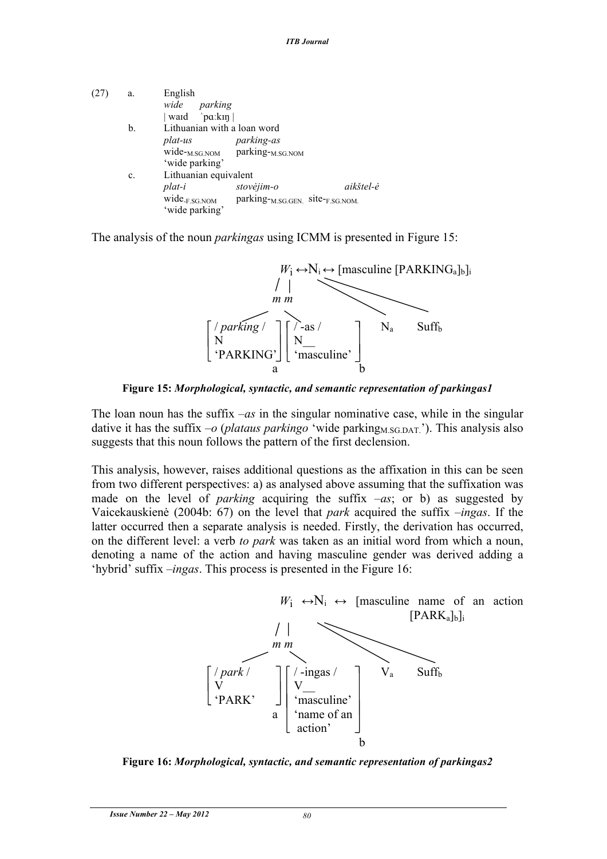| (27) | a.             | English                              |                                                        |           |
|------|----------------|--------------------------------------|--------------------------------------------------------|-----------|
|      |                | wide parking                         |                                                        |           |
|      |                | $\vert$ ward $\vert$ 'pa:kin $\vert$ |                                                        |           |
|      | b.             | Lithuanian with a loan word          |                                                        |           |
|      |                | plat-us                              | <i>parking-as</i>                                      |           |
|      |                |                                      | wide- <sub>M.SG.NOM</sub> parking- <sub>M.SG.NOM</sub> |           |
|      |                | 'wide parking'                       |                                                        |           |
|      | $\mathbf{c}$ . | Lithuanian equivalent                |                                                        |           |
|      |                | plat-i                               | stovėjim-o                                             | aikštel-ė |
|      |                | $wide_{FSG. NOM}$                    | parking- <sub>M.SG.GEN.</sub> site-F.SG.NOM.           |           |
|      |                | 'wide parking'                       |                                                        |           |

The analysis of the noun *parkingas* using ICMM is presented in Figure 15:



**Figure 15:** *Morphological, syntactic, and semantic representation of parkingas1*

The loan noun has the suffix *–as* in the singular nominative case, while in the singular dative it has the suffix  $-o$  (*plataus parkingo* 'wide parking<sub>M.SG.DAT.</sub>'). This analysis also suggests that this noun follows the pattern of the first declension.

This analysis, however, raises additional questions as the affixation in this can be seen from two different perspectives: a) as analysed above assuming that the suffixation was made on the level of *parking* acquiring the suffix *–as*; or b) as suggested by Vaicekauskienė (2004b: 67) on the level that *park* acquired the suffix *–ingas*. If the latter occurred then a separate analysis is needed. Firstly, the derivation has occurred, on the different level: a verb *to park* was taken as an initial word from which a noun, denoting a name of the action and having masculine gender was derived adding a 'hybrid' suffix *–ingas*. This process is presented in the Figure 16:



**Figure 16:** *Morphological, syntactic, and semantic representation of parkingas2*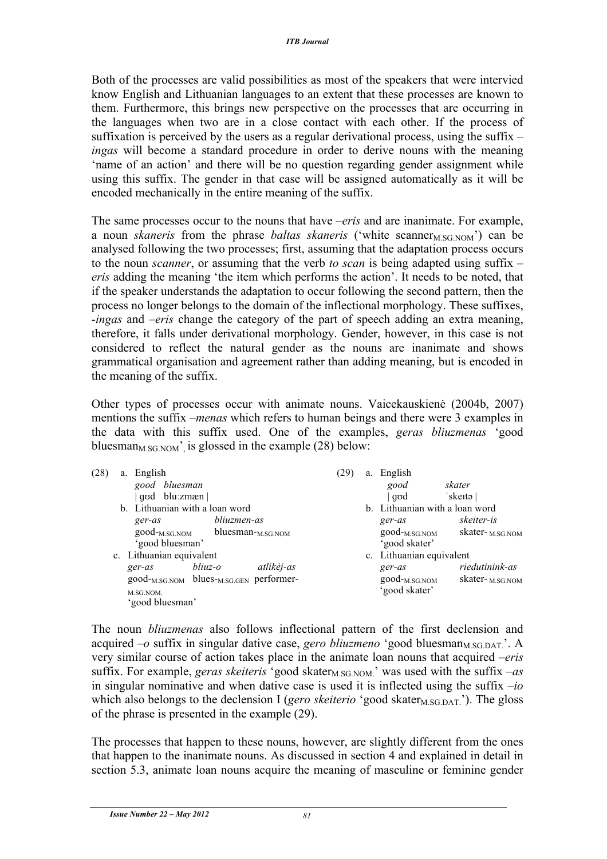Both of the processes are valid possibilities as most of the speakers that were intervied know English and Lithuanian languages to an extent that these processes are known to them. Furthermore, this brings new perspective on the processes that are occurring in the languages when two are in a close contact with each other. If the process of suffixation is perceived by the users as a regular derivational process, using the suffix *– ingas* will become a standard procedure in order to derive nouns with the meaning 'name of an action' and there will be no question regarding gender assignment while using this suffix. The gender in that case will be assigned automatically as it will be encoded mechanically in the entire meaning of the suffix.

The same processes occur to the nouns that have *–eris* and are inanimate. For example, a noun *skaneris* from the phrase *baltas skaneris* ('white scanner<sub>M.SG.NOM</sub>') can be analysed following the two processes; first, assuming that the adaptation process occurs to the noun *scanner*, or assuming that the verb *to scan* is being adapted using suffix *– eris* adding the meaning 'the item which performs the action'. It needs to be noted, that if the speaker understands the adaptation to occur following the second pattern, then the process no longer belongs to the domain of the inflectional morphology. These suffixes, *-ingas* and *–eris* change the category of the part of speech adding an extra meaning, therefore, it falls under derivational morphology. Gender, however, in this case is not considered to reflect the natural gender as the nouns are inanimate and shows grammatical organisation and agreement rather than adding meaning, but is encoded in the meaning of the suffix.

Other types of processes occur with animate nouns. Vaicekauskienė (2004b, 2007) mentions the suffix –*menas* which refers to human beings and there were 3 examples in the data with this suffix used. One of the examples, *geras bliuzmenas* 'good bluesman<sub>M.SG.NOM</sub>' is glossed in the example (28) below:

| (28) | a. | English                                                         |             |                          | (29) | a. | English                        |                        |
|------|----|-----------------------------------------------------------------|-------------|--------------------------|------|----|--------------------------------|------------------------|
|      |    | good bluesman                                                   |             |                          |      |    | good                           | skater                 |
|      |    | god blu:zmæn                                                    |             |                          |      |    | qod                            | 'skeītə                |
|      |    | b. Lithuanian with a loan word                                  |             |                          |      |    | b. Lithuanian with a loan word |                        |
|      |    | ger-as                                                          | bliuzmen-as |                          |      |    | ger-as                         | skeiter-is             |
|      |    | $good$ - $_{M.SG.NOM}$                                          |             | bluesman- $_{M.SG. NOM}$ |      |    | $good$ - $_{M.SG.NOM}$         | skater- $_{M.SG. NOM}$ |
|      |    | 'good bluesman'                                                 |             |                          |      |    | 'good skater'                  |                        |
|      |    | c. Lithuanian equivalent                                        |             |                          |      |    | c. Lithuanian equivalent       |                        |
|      |    | ger-as                                                          | bliuz-o     | atlikėj-as               |      |    | ger-as                         | riedutinink-as         |
|      |    | good- <sub>M.SG.NOM</sub> blues- <sub>M.SG.GEN</sub> performer- |             |                          |      |    | good- <sub>M.SG.NOM</sub>      | skater- $_{M.SG. NOM}$ |
|      |    | M.SG.NOM.                                                       |             |                          |      |    | 'good skater'                  |                        |
|      |    | 'good bluesman'                                                 |             |                          |      |    |                                |                        |

The noun *bliuzmenas* also follows inflectional pattern of the first declension and acquired  $-o$  suffix in singular dative case, *gero bliuzmeno* 'good bluesman<sub>M.SG.DAT.</sub>'. A very similar course of action takes place in the animate loan nouns that acquired *–eris*  suffix. For example, *geras skeiteris* 'good skater<sub>M.SG.NOM.</sub>' was used with the suffix  $-as$ in singular nominative and when dative case is used it is inflected using the suffix *–io* which also belongs to the declension I (*gero skeiterio* 'good skater<sub>M.SG.DAT.</sub>'). The gloss of the phrase is presented in the example (29).

The processes that happen to these nouns, however, are slightly different from the ones that happen to the inanimate nouns. As discussed in section 4 and explained in detail in section 5.3, animate loan nouns acquire the meaning of masculine or feminine gender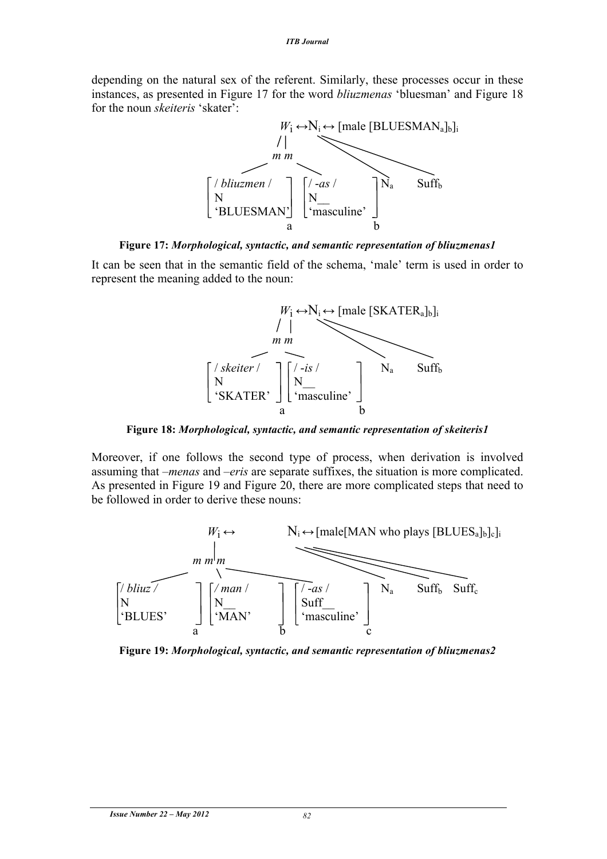depending on the natural sex of the referent. Similarly, these processes occur in these instances, as presented in Figure 17 for the word *bliuzmenas* 'bluesman' and Figure 18 for the noun *skeiteris* 'skater':



**Figure 17:** *Morphological, syntactic, and semantic representation of bliuzmenas1*

It can be seen that in the semantic field of the schema, 'male' term is used in order to represent the meaning added to the noun:



**Figure 18:** *Morphological, syntactic, and semantic representation of skeiteris1*

Moreover, if one follows the second type of process, when derivation is involved assuming that *–menas* and *–eris* are separate suffixes, the situation is more complicated. As presented in Figure 19 and Figure 20, there are more complicated steps that need to be followed in order to derive these nouns:



**Figure 19:** *Morphological, syntactic, and semantic representation of bliuzmenas2*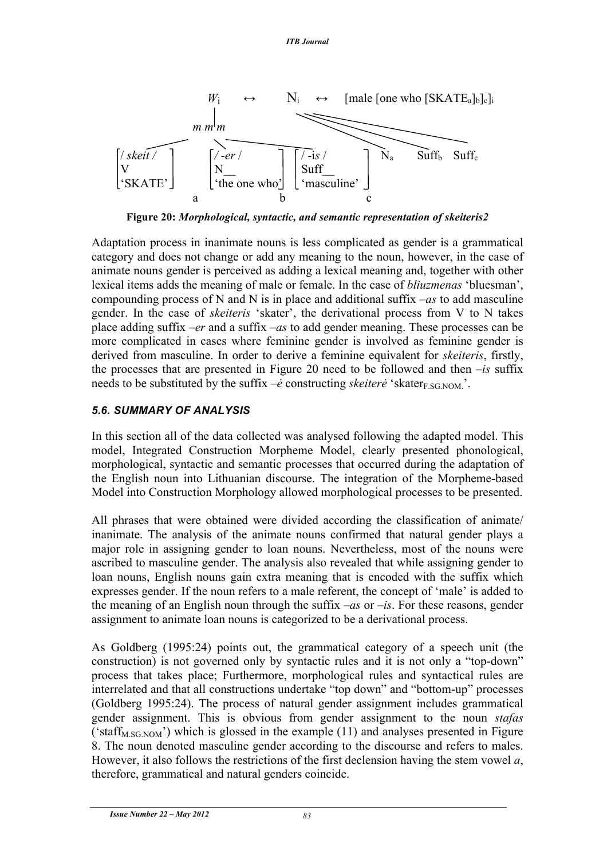

**Figure 20:** *Morphological, syntactic, and semantic representation of skeiteris2*

Adaptation process in inanimate nouns is less complicated as gender is a grammatical category and does not change or add any meaning to the noun, however, in the case of animate nouns gender is perceived as adding a lexical meaning and, together with other lexical items adds the meaning of male or female. In the case of *bliuzmenas* 'bluesman', compounding process of N and N is in place and additional suffix *–as* to add masculine gender. In the case of *skeiteris* 'skater', the derivational process from V to N takes place adding suffix *–er* and a suffix *–as* to add gender meaning. These processes can be more complicated in cases where feminine gender is involved as feminine gender is derived from masculine. In order to derive a feminine equivalent for *skeiteris*, firstly, the processes that are presented in Figure 20 need to be followed and then *–is* suffix needs to be substituted by the suffix  $-\dot{e}$  constructing *skeiter* $\dot{e}$  'skater<sub>F.SG.NOM</sub>.

### *5.6. SUMMARY OF ANALYSIS*

In this section all of the data collected was analysed following the adapted model. This model, Integrated Construction Morpheme Model, clearly presented phonological, morphological, syntactic and semantic processes that occurred during the adaptation of the English noun into Lithuanian discourse. The integration of the Morpheme-based Model into Construction Morphology allowed morphological processes to be presented.

All phrases that were obtained were divided according the classification of animate/ inanimate. The analysis of the animate nouns confirmed that natural gender plays a major role in assigning gender to loan nouns. Nevertheless, most of the nouns were ascribed to masculine gender. The analysis also revealed that while assigning gender to loan nouns, English nouns gain extra meaning that is encoded with the suffix which expresses gender. If the noun refers to a male referent, the concept of 'male' is added to the meaning of an English noun through the suffix *–as* or *–is*. For these reasons, gender assignment to animate loan nouns is categorized to be a derivational process.

As Goldberg (1995:24) points out, the grammatical category of a speech unit (the construction) is not governed only by syntactic rules and it is not only a "top-down" process that takes place; Furthermore, morphological rules and syntactical rules are interrelated and that all constructions undertake "top down" and "bottom-up" processes (Goldberg 1995:24). The process of natural gender assignment includes grammatical gender assignment. This is obvious from gender assignment to the noun *stafas* ( $^{\circ}$ staff<sub>M.SG.NOM</sub>) which is glossed in the example (11) and analyses presented in Figure 8. The noun denoted masculine gender according to the discourse and refers to males. However, it also follows the restrictions of the first declension having the stem vowel *a*, therefore, grammatical and natural genders coincide.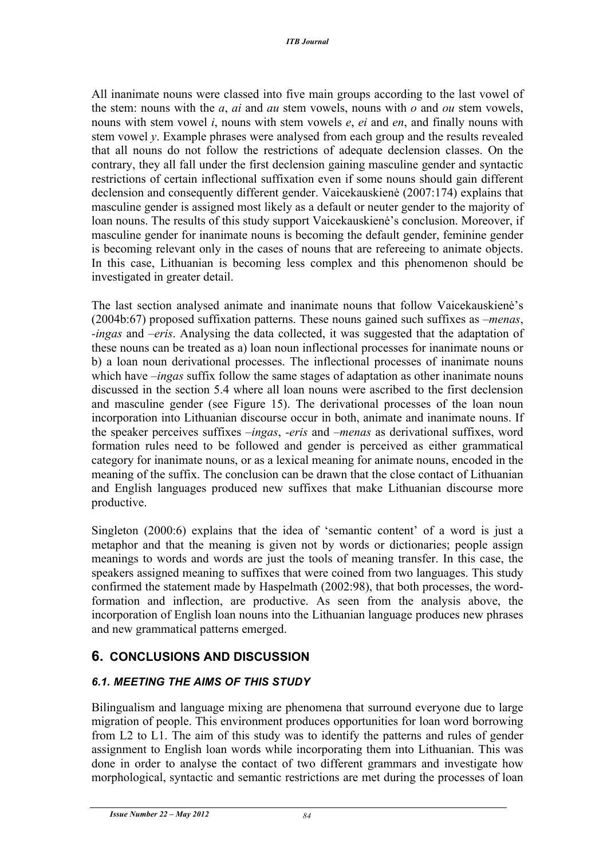All inanimate nouns were classed into five main groups according to the last vowel of the stem: nouns with the *a*, *ai* and *au* stem vowels, nouns with *o* and *ou* stem vowels, nouns with stem vowel *i*, nouns with stem vowels *e*, *ei* and *en*, and finally nouns with stem vowel *y*. Example phrases were analysed from each group and the results revealed that all nouns do not follow the restrictions of adequate declension classes. On the contrary, they all fall under the first declension gaining masculine gender and syntactic restrictions of certain inflectional suffixation even if some nouns should gain different declension and consequently different gender. Vaicekauskienė (2007:174) explains that masculine gender is assigned most likely as a default or neuter gender to the majority of loan nouns. The results of this study support Vaicekauskienė's conclusion. Moreover, if masculine gender for inanimate nouns is becoming the default gender, feminine gender is becoming relevant only in the cases of nouns that are refereeing to animate objects. In this case, Lithuanian is becoming less complex and this phenomenon should be investigated in greater detail.

The last section analysed animate and inanimate nouns that follow Vaicekauskienė's (2004b:67) proposed suffixation patterns. These nouns gained such suffixes as *–menas*, *-ingas* and *–eris*. Analysing the data collected, it was suggested that the adaptation of these nouns can be treated as a) loan noun inflectional processes for inanimate nouns or b) a loan noun derivational processes. The inflectional processes of inanimate nouns which have *–ingas* suffix follow the same stages of adaptation as other inanimate nouns discussed in the section 5.4 where all loan nouns were ascribed to the first declension and masculine gender (see Figure 15). The derivational processes of the loan noun incorporation into Lithuanian discourse occur in both, animate and inanimate nouns. If the speaker perceives suffixes *–ingas*, *-eris* and *–menas* as derivational suffixes, word formation rules need to be followed and gender is perceived as either grammatical category for inanimate nouns, or as a lexical meaning for animate nouns, encoded in the meaning of the suffix. The conclusion can be drawn that the close contact of Lithuanian and English languages produced new suffixes that make Lithuanian discourse more productive.

Singleton (2000:6) explains that the idea of 'semantic content' of a word is just a metaphor and that the meaning is given not by words or dictionaries; people assign meanings to words and words are just the tools of meaning transfer. In this case, the speakers assigned meaning to suffixes that were coined from two languages. This study confirmed the statement made by Haspelmath (2002:98), that both processes, the wordformation and inflection, are productive. As seen from the analysis above, the incorporation of English loan nouns into the Lithuanian language produces new phrases and new grammatical patterns emerged.

### **6. CONCLUSIONS AND DISCUSSION**

### *6.1. MEETING THE AIMS OF THIS STUDY*

Bilingualism and language mixing are phenomena that surround everyone due to large migration of people. This environment produces opportunities for loan word borrowing from L2 to L1. The aim of this study was to identify the patterns and rules of gender assignment to English loan words while incorporating them into Lithuanian. This was done in order to analyse the contact of two different grammars and investigate how morphological, syntactic and semantic restrictions are met during the processes of loan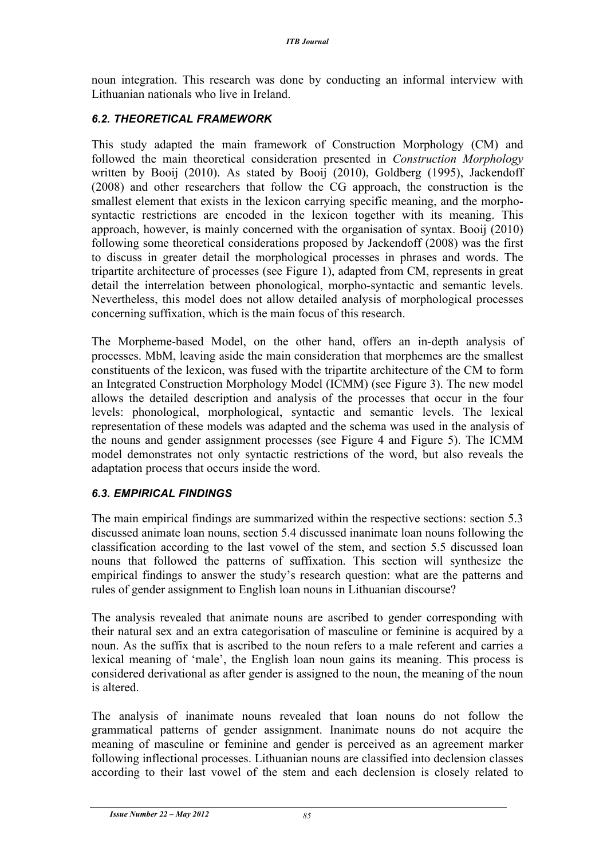noun integration. This research was done by conducting an informal interview with Lithuanian nationals who live in Ireland.

### *6.2. THEORETICAL FRAMEWORK*

This study adapted the main framework of Construction Morphology (CM) and followed the main theoretical consideration presented in *Construction Morphology*  written by Booij (2010). As stated by Booij (2010), Goldberg (1995), Jackendoff (2008) and other researchers that follow the CG approach, the construction is the smallest element that exists in the lexicon carrying specific meaning, and the morphosyntactic restrictions are encoded in the lexicon together with its meaning. This approach, however, is mainly concerned with the organisation of syntax. Booij (2010) following some theoretical considerations proposed by Jackendoff (2008) was the first to discuss in greater detail the morphological processes in phrases and words. The tripartite architecture of processes (see Figure 1), adapted from CM, represents in great detail the interrelation between phonological, morpho-syntactic and semantic levels. Nevertheless, this model does not allow detailed analysis of morphological processes concerning suffixation, which is the main focus of this research.

The Morpheme-based Model, on the other hand, offers an in-depth analysis of processes. MbM, leaving aside the main consideration that morphemes are the smallest constituents of the lexicon, was fused with the tripartite architecture of the CM to form an Integrated Construction Morphology Model (ICMM) (see Figure 3). The new model allows the detailed description and analysis of the processes that occur in the four levels: phonological, morphological, syntactic and semantic levels. The lexical representation of these models was adapted and the schema was used in the analysis of the nouns and gender assignment processes (see Figure 4 and Figure 5). The ICMM model demonstrates not only syntactic restrictions of the word, but also reveals the adaptation process that occurs inside the word.

### *6.3. EMPIRICAL FINDINGS*

The main empirical findings are summarized within the respective sections: section 5.3 discussed animate loan nouns, section 5.4 discussed inanimate loan nouns following the classification according to the last vowel of the stem, and section 5.5 discussed loan nouns that followed the patterns of suffixation. This section will synthesize the empirical findings to answer the study's research question: what are the patterns and rules of gender assignment to English loan nouns in Lithuanian discourse?

The analysis revealed that animate nouns are ascribed to gender corresponding with their natural sex and an extra categorisation of masculine or feminine is acquired by a noun. As the suffix that is ascribed to the noun refers to a male referent and carries a lexical meaning of 'male', the English loan noun gains its meaning. This process is considered derivational as after gender is assigned to the noun, the meaning of the noun is altered.

The analysis of inanimate nouns revealed that loan nouns do not follow the grammatical patterns of gender assignment. Inanimate nouns do not acquire the meaning of masculine or feminine and gender is perceived as an agreement marker following inflectional processes. Lithuanian nouns are classified into declension classes according to their last vowel of the stem and each declension is closely related to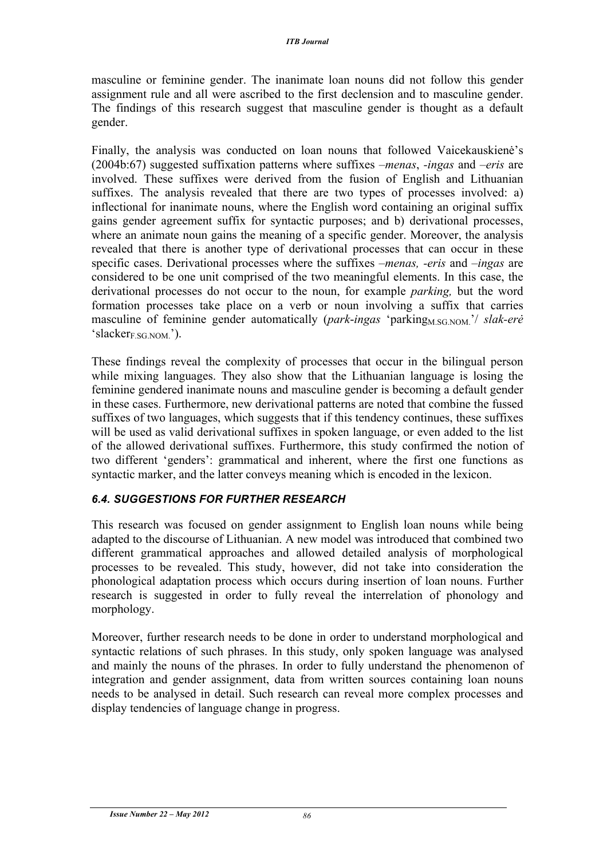masculine or feminine gender. The inanimate loan nouns did not follow this gender assignment rule and all were ascribed to the first declension and to masculine gender. The findings of this research suggest that masculine gender is thought as a default gender.

Finally, the analysis was conducted on loan nouns that followed Vaicekauskienė's (2004b:67) suggested suffixation patterns where suffixes *–menas*, *-ingas* and *–eris* are involved. These suffixes were derived from the fusion of English and Lithuanian suffixes. The analysis revealed that there are two types of processes involved: a) inflectional for inanimate nouns, where the English word containing an original suffix gains gender agreement suffix for syntactic purposes; and b) derivational processes, where an animate noun gains the meaning of a specific gender. Moreover, the analysis revealed that there is another type of derivational processes that can occur in these specific cases. Derivational processes where the suffixes *–menas, -eris* and *–ingas* are considered to be one unit comprised of the two meaningful elements. In this case, the derivational processes do not occur to the noun, for example *parking,* but the word formation processes take place on a verb or noun involving a suffix that carries masculine of feminine gender automatically (*park-ingas* 'parking<sub>M.SG.NOM</sub>,'/ *slak-erė*  $'slacker_{ESG,NOM}$ ).

These findings reveal the complexity of processes that occur in the bilingual person while mixing languages. They also show that the Lithuanian language is losing the feminine gendered inanimate nouns and masculine gender is becoming a default gender in these cases. Furthermore, new derivational patterns are noted that combine the fussed suffixes of two languages, which suggests that if this tendency continues, these suffixes will be used as valid derivational suffixes in spoken language, or even added to the list of the allowed derivational suffixes. Furthermore, this study confirmed the notion of two different 'genders': grammatical and inherent, where the first one functions as syntactic marker, and the latter conveys meaning which is encoded in the lexicon.

### *6.4. SUGGESTIONS FOR FURTHER RESEARCH*

This research was focused on gender assignment to English loan nouns while being adapted to the discourse of Lithuanian. A new model was introduced that combined two different grammatical approaches and allowed detailed analysis of morphological processes to be revealed. This study, however, did not take into consideration the phonological adaptation process which occurs during insertion of loan nouns. Further research is suggested in order to fully reveal the interrelation of phonology and morphology.

Moreover, further research needs to be done in order to understand morphological and syntactic relations of such phrases. In this study, only spoken language was analysed and mainly the nouns of the phrases. In order to fully understand the phenomenon of integration and gender assignment, data from written sources containing loan nouns needs to be analysed in detail. Such research can reveal more complex processes and display tendencies of language change in progress.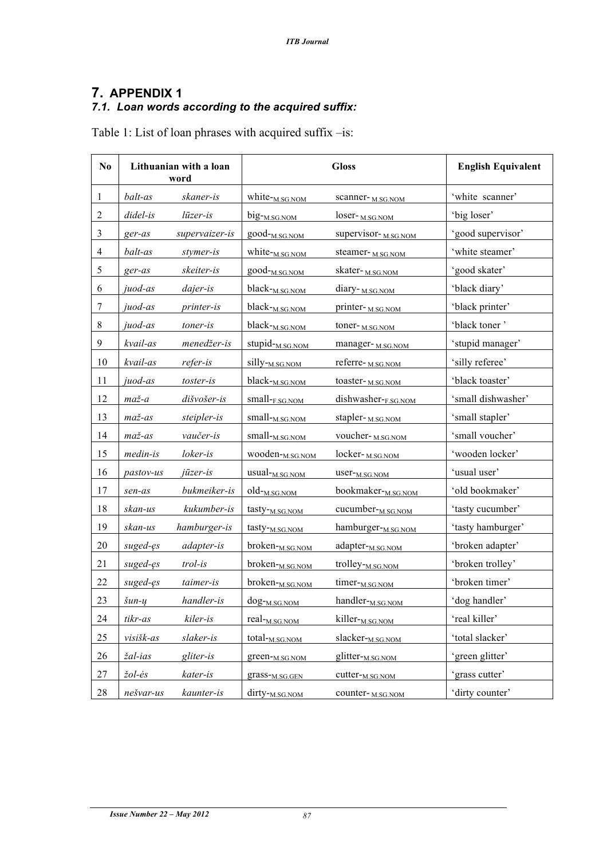### **7. APPENDIX 1** *7.1. Loan words according to the acquired suffix:*

Table 1: List of loan phrases with acquired suffix –is:

| No               | Lithuanian with a loan<br>word |                   |                               | <b>Gloss</b>                  | <b>English Equivalent</b> |
|------------------|--------------------------------|-------------------|-------------------------------|-------------------------------|---------------------------|
| $\mathbf{1}$     | balt-as                        | skaner-is         | white-M.SG.NOM                | scanner-M.SG.NOM              | 'white scanner'           |
| $\boldsymbol{2}$ | $didel- is$                    | $l\bar{u}$ zer-is | big- <sub>M.SG.NOM</sub>      | loser- <sub>M.SG.NOM</sub>    | 'big loser'               |
| $\mathfrak{Z}$   | ger-as                         | supervaizer-is    | good- <sub>M.SG.NOM</sub>     | supervisor-M.SG.NOM           | 'good supervisor'         |
| $\overline{4}$   | balt-as                        | stymer-is         | white- <sub>M.SG.NOM</sub>    | steamer-M.SG.NOM              | 'white steamer'           |
| 5                | ger-as                         | skeiter-is        | good- <sub>M.SG.NOM</sub>     | skater- <sub>M.SG.NOM</sub>   | 'good skater'             |
| 6                | juod-as                        | dajer-is          | black- <sub>M.SG.NOM</sub>    | diary- <sub>M.SG.NOM</sub>    | 'black diary'             |
| $\tau$           | juod-as                        | <i>printer-is</i> | $black_{M.SG. NOM}$           | printer-MSGNOM                | 'black printer'           |
| $8\,$            | juod-as                        | toner-is          | black- <sub>M.SG.NOM</sub>    | toner-M.SG.NOM                | 'black toner'             |
| $\overline{9}$   | kvail-as                       | menedžer-is       | stupid- <sub>M.SG.NOM</sub>   | manager-M.SG.NOM              | 'stupid manager'          |
| 10               | kvail-as                       | refer-is          | silly- <sub>M.SG.NOM</sub>    | referre-M.SG.NOM              | 'silly referee'           |
| 11               | juod-as                        | toster-is         | $black_{M.SG. NOM}$           | toaster-M.SG.NOM              | 'black toaster'           |
| 12               | $ma\check{z}$ -a               | dišvošer-is       | small-F.SG.NOM                | dishwasher-FSG.NOM            | 'small dishwasher'        |
| 13               | $ma\check{z}$ -as              | steipler-is       | small- <sub>M.SG.NOM</sub>    | stapler- <sub>M.SG.NOM</sub>  | 'small stapler'           |
| 14               | $ma\check{z}$ -as              | vaučer-is         | small- <sub>M.SG.NOM</sub>    | voucher-MSGNOM                | 'small voucher'           |
| 15               | medin-is                       | loker-is          | wooden- <sub>M.SG.NOM</sub>   | locker- <sub>M.SG.NOM</sub>   | 'wooden locker'           |
| 16               | pastov-us                      | jūzer-is          | usual- <sub>M.SG.NOM</sub>    | user- <sub>M.SG.NOM</sub>     | 'usual user'              |
| 17               | sen-as                         | bukmeiker-is      | $old$ <sup>-</sup> $M.SG.NOM$ | bookmaker-M.SG.NOM            | 'old bookmaker'           |
| $18\,$           | skan-us                        | kukumber-is       | tasty- <sub>M.SG.NOM</sub>    | cucumber- <sub>M.SG.NOM</sub> | 'tasty cucumber'          |
| 19               | skan-us                        | hamburger-is      | tasty- <sub>M.SG.NOM</sub>    | hamburger-M.SG.NOM            | 'tasty hamburger'         |
| $20\,$           | suged-es                       | adapter-is        | broken-M.SG.NOM               | adapter- <sub>M.SG.NOM</sub>  | 'broken adapter'          |
| 21               | suged-ęs                       | trol-is           | broken- <sub>M.SG.NOM</sub>   | trolley- <sub>M.SG.NOM</sub>  | 'broken trolley'          |
| 22               | suged-es                       | taimer-is         | broken- <sub>M.SG.NOM</sub>   | timer- <sub>M.SG.NOM</sub>    | 'broken timer'            |
| 23               | $\check{S}un-y$                | handler-is        | dog- <sub>M.SG.NOM</sub>      | handler- <sub>M.SG.NOM</sub>  | 'dog handler'             |
| 24               | tikr-as                        | kiler-is          | real- <sub>M.SG.NOM</sub>     | killer-M.SG.NOM               | 'real killer'             |
| 25               | visišk-as                      | slaker-is         | total- <sub>M.SG.NOM</sub>    | slacker- <sub>M.SG.NOM</sub>  | 'total slacker'           |
| 26               | žal-ias                        | gliter-is         | green- <sub>M.SG.NOM</sub>    | glitter- <sub>M.SG.NOM</sub>  | 'green glitter'           |
| 27               | žol-ės                         | kater-is          | grass- <sub>M.SG.GEN</sub>    | cutter- <sub>M.SG.NOM</sub>   | 'grass cutter'            |
| 28               | nešvar-us                      | kaunter-is        | dirty- <sub>M.SG.NOM</sub>    | counter-M.SG.NOM              | 'dirty counter'           |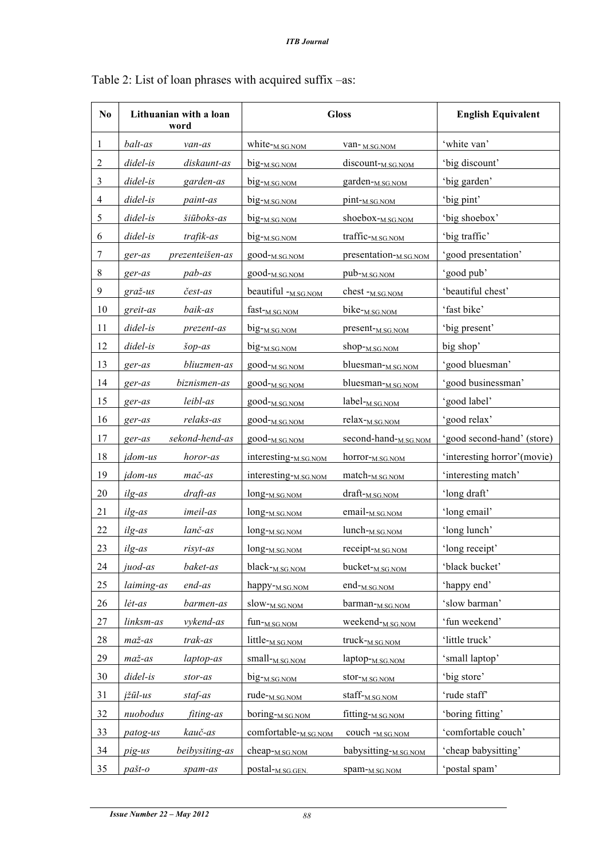| No             | Lithuanian with a loan<br>word |                 | <b>Gloss</b>                     |                                   | <b>English Equivalent</b>   |
|----------------|--------------------------------|-----------------|----------------------------------|-----------------------------------|-----------------------------|
| 1              | balt-as                        | van-as          | white-M.SG.NOM                   | van-M.SG.NOM                      | 'white van'                 |
| $\overline{2}$ | $didel- is$                    | diskaunt-as     | big- <sub>M.SG.NOM</sub>         | discount- <sub>M.SG.NOM</sub>     | 'big discount'              |
| $\mathfrak{Z}$ | $didel-is$                     | garden-as       | big- <sub>M.SG.NOM</sub>         | garden- <sub>M.SG.NOM</sub>       | 'big garden'                |
| $\overline{4}$ | $didel-is$                     | paint-as        | big- <sub>M.SG.NOM</sub>         | pint- <sub>M.SG.NOM</sub>         | 'big pint'                  |
| 5              | $didel-is$                     | šiūboks-as      | big- <sub>M.SG.NOM</sub>         | shoebox-M.SG.NOM                  | 'big shoebox'               |
| 6              | $didel- is$                    | trafik-as       | big- <sub>M.SG.NOM</sub>         | traffic- <sub>M.SG.NOM</sub>      | 'big traffic'               |
| $\tau$         | ger-as                         | prezenteišen-as | $good$ - $M.SG.NOM$              | presentation- <sub>M.SG.NOM</sub> | 'good presentation'         |
| $8\,$          | ger-as                         | pab-as          | good- <sub>M.SG.NOM</sub>        | pub- <sub>M.SG.NOM</sub>          | 'good pub'                  |
| 9              | $gra\check{z}$ -us             | čest-as         | beautiful $-M.SG.NOM$            | chest - <sub>M.SG.NOM</sub>       | 'beautiful chest'           |
| 10             | greit-as                       | baik-as         | fast- <sub>M.SG.NOM</sub>        | bike- <sub>M.SG.NOM</sub>         | 'fast bike'                 |
| 11             | didel-is                       | prezent-as      | big-M.SG.NOM                     | present- <sub>M.SG.NOM</sub>      | 'big present'               |
| 12             | didel-is                       | šop-as          | big- <sub>M.SG.NOM</sub>         | shop- <sub>M.SG.NOM</sub>         | big shop'                   |
| 13             | ger-as                         | bliuzmen-as     | good- <sub>M.SG.NOM</sub>        | bluesman-M.SG.NOM                 | 'good bluesman'             |
| 14             | ger-as                         | biznismen-as    | good- <sub>M.SG.NOM</sub>        | bluesman-M.SG.NOM                 | 'good businessman'          |
| 15             | ger-as                         | leibl-as        | $good$ - $M.SG.NOM$              | label- <sub>M.SG.NOM</sub>        | 'good label'                |
| 16             | ger-as                         | relaks-as       | good- <sub>M.SG.NOM</sub>        | relax- <sub>M.SG.NOM</sub>        | 'good relax'                |
| 17             | ger-as                         | sekond-hend-as  | $good$ - $M.SG.NOM$              | second-hand- <sub>M.SG.NOM</sub>  | 'good second-hand' (store)  |
| 18             | <i>idom-us</i>                 | horor-as        | interesting- <sub>M.SG.NOM</sub> | horror- <sub>M.SG.NOM</sub>       | 'interesting horror'(movie) |
| 19             | <i>idom-us</i>                 | mač-as          | interesting- <sub>M.SG.NOM</sub> | match- <sub>M.SG.NOM</sub>        | 'interesting match'         |
| 20             | ilg-as                         | draft-as        | long- <sub>M.SG.NOM</sub>        | draft- <sub>M.SG.NOM</sub>        | 'long draft'                |
| 21             | ilg-as                         | imeil-as        | long- <sub>M.SG.NOM</sub>        | email- <sub>M.SG.NOM</sub>        | 'long email'                |
| 22             | ilg-as                         | lanč-as         | long- <sub>M.SG.NOM</sub>        | $lunch_{M.SG. NOM}$               | 'long lunch'                |
| 23             | ilg-as                         | risyt-as        | long- <sub>M.SG.NOM</sub>        | receipt- <sub>M.SG.NOM</sub>      | 'long receipt'              |
| 24             | juod-as                        | baket-as        | black- <sub>M.SG.NOM</sub>       | bucket- <sub>M.SG.NOM</sub>       | 'black bucket'              |
| 25             | laiming-as                     | end-as          | happy- <sub>M.SG.NOM</sub>       | $end$ - $M.SG.NOM$                | 'happy end'                 |
| 26             | lėt-as                         | barmen-as       | slow- <sub>M.SG.NOM</sub>        | barman-M.SG.NOM                   | 'slow barman'               |
| 27             | linksm-as                      | vykend-as       | $fun-M.SG.NOM$                   | weekend- <sub>M.SG.NOM</sub>      | 'fun weekend'               |
| $28\,$         | $ma\check{z}$ -as              | trak-as         | little- <sub>M.SG.NOM</sub>      | truck- <sub>M.SG.NOM</sub>        | 'little truck'              |
| 29             | $ma\check{z}$ -as              | laptop-as       | small- <sub>M.SG.NOM</sub>       | laptop- <sub>M.SG.NOM</sub>       | 'small laptop'              |
| 30             | didel-is                       | $stor-as$       | $big_{-M.SG. NOM}$               | stor- <sub>M.SG.NOM</sub>         | 'big store'                 |
| 31             | įžūl-us                        | staf-as         | rude- $_{M.SG.NOM}$              | staff- <sub>M.SG.NOM</sub>        | 'rude staff'                |
| 32             | nuobodus                       | fiting-as       | $boring-M.SG.NOM$                | fitting- <sub>M.SG.NOM</sub>      | 'boring fitting'            |
| 33             | patog-us                       | kauč-as         | comfortable-M.SG.NOM             | $couch -M.SG.NOM$                 | 'comfortable couch'         |
| 34             | pig-us                         | beibysiting-as  | cheap- <sub>M.SG.NOM</sub>       | babysitting-M.SG.NOM              | 'cheap babysitting'         |
| 35             | pašt-o                         | spam-as         | postal- <sub>M.SG.GEN.</sub>     | spam-M.SG.NOM                     | 'postal spam'               |

## Table 2: List of loan phrases with acquired suffix –as: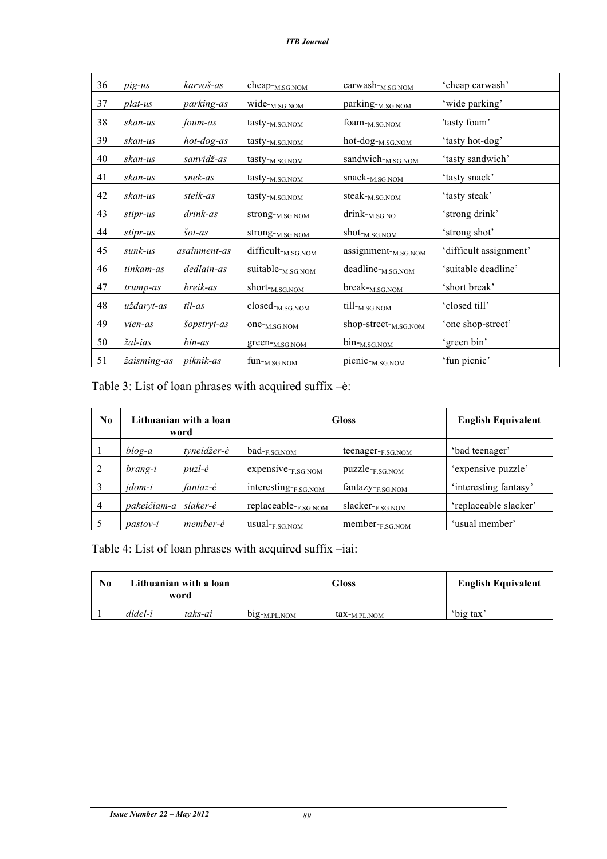| 36 | pig-us      | karvoš-as         | cheap-M.SG.NOM              | carwash-M.SG.NOM                | 'cheap carwash'        |
|----|-------------|-------------------|-----------------------------|---------------------------------|------------------------|
| 37 | plat-us     | parking-as        | wide- <sub>M.SG.NOM</sub>   | parking-M.SG.NOM                | 'wide parking'         |
| 38 | skan-us     | foum-as           | tasty- <sub>M.SG.NOM</sub>  | foam-M.SG.NOM                   | 'tasty foam'           |
| 39 | skan-us     | hot-dog-as        | tasty- <sub>M.SG.NOM</sub>  | hot-dog- <sub>M.SG.NOM</sub>    | 'tasty hot-dog'        |
| 40 | skan-us     | sanvidž-as        | tasty- <sub>M.SG.NOM</sub>  | sandwich-M.SG.NOM               | 'tasty sandwich'       |
| 41 | skan-us     | snek-as           | tasty- <sub>M.SG.NOM</sub>  | snack- <sub>M.SG.NOM</sub>      | 'tasty snack'          |
| 42 | skan-us     | steik-as          | tasty- <sub>M.SG.NOM</sub>  | steak- <sub>M.SG.NOM</sub>      | 'tasty steak'          |
| 43 | stipr-us    | drink-as          | strong- <sub>M.SG.NOM</sub> | drink-M.SG.NO                   | 'strong drink'         |
| 44 | stipr-us    | $\check{s}$ ot-as | strong-M.SG.NOM             | shot- <sub>M.SG.NOM</sub>       | 'strong shot'          |
| 45 | sunk-us     | asainment-as      | difficult-M.SG.NOM          | assignment- <sub>M.SG.NOM</sub> | 'difficult assignment' |
| 46 | tinkam-as   | dedlain-as        | suitable-M.SG.NOM           | deadline-M.SG.NOM               | 'suitable deadline'    |
| 47 | trump-as    | breik-as          | short- <sub>M.SG.NOM</sub>  | break-M.SG.NOM                  | 'short break'          |
| 48 | uždaryt-as  | til-as            | closed-MSG.NOM              | till- <sub>M.SG.NOM</sub>       | 'closed till'          |
| 49 | vien-as     | šopstryt-as       | one- <sub>M.SG.NOM</sub>    | shop-street-M.SG.NOM            | 'one shop-street'      |
| 50 | žal-ias     | bin-as            | green- <sub>M.SG.NOM</sub>  | bin- <sub>M.SG.NOM</sub>        | 'green bin'            |
| 51 | žaisming-as | piknik-as         | fun- <sub>M.SG.NOM</sub>    | picnic- <sub>M.SG.NOM</sub>     | 'fun picnic'           |

Table 3: List of loan phrases with acquired suffix –ė:

| No.            | Lithuanian with a loan<br>word |             | <b>Gloss</b>              | <b>English Equivalent</b>   |                       |
|----------------|--------------------------------|-------------|---------------------------|-----------------------------|-----------------------|
|                | $b \log -a$                    | tyneidžer-ė | $bad$ <sub>F SG NOM</sub> | teenager-F.SG.NOM           | 'bad teenager'        |
|                | brang-i                        | puzl-ė      | expensive-F.SG.NOM        | puzzle- <sub>F.SG.NOM</sub> | 'expensive puzzle'    |
|                | <i>idom-i</i>                  | fantaz-ė    | interesting-F.SG.NOM      | fantazy-F.SG.NOM            | 'interesting fantasy' |
| $\overline{4}$ | pakeičiam-a                    | slaker-ė    | replaceable-F.SG.NOM      | slacker-F.SG.NOM            | 'replaceable slacker' |
|                | <i>pastov-i</i>                | member-ė    | $usual$ - $F.SG.NOM$      | member-F.SG.NOM             | 'usual member'        |

Table 4: List of loan phrases with acquired suffix –iai:

| No. | Lithuanian with a loan<br>word |         | Gloss              |                          | <b>English Equivalent</b> |           |
|-----|--------------------------------|---------|--------------------|--------------------------|---------------------------|-----------|
|     | didel-i                        | taks-ai | $b1g$ - $M.PL NOM$ | tax- <sub>M PL</sub> NOM |                           | 'big tax' |